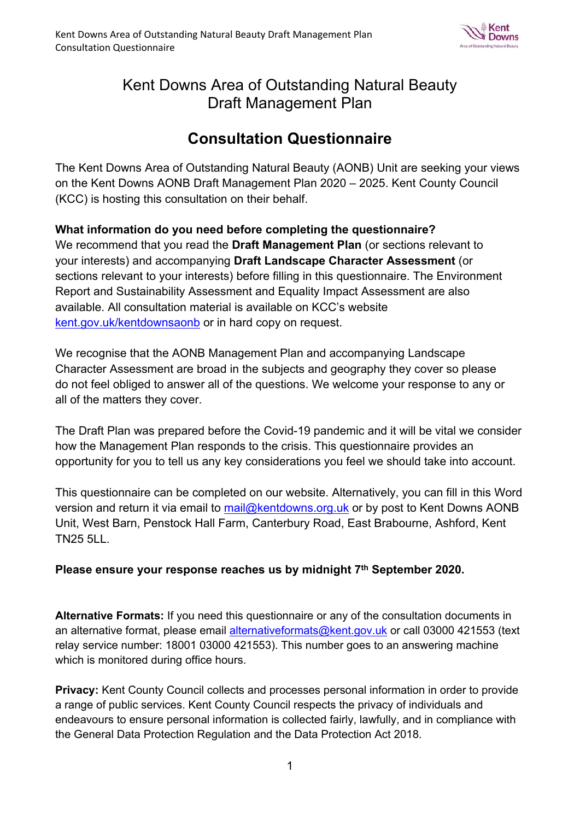

# Kent Downs Area of Outstanding Natural Beauty Draft Management Plan

# **Consultation Questionnaire**

The Kent Downs Area of Outstanding Natural Beauty (AONB) Unit are seeking your views on the Kent Downs AONB Draft Management Plan 2020 – 2025. Kent County Council (KCC) is hosting this consultation on their behalf.

## **What information do you need before completing the questionnaire?**

We recommend that you read the **Draft Management Plan** (or sections relevant to your interests) and accompanying **Draft Landscape Character Assessment** (or sections relevant to your interests) before filling in this questionnaire. The Environment Report and Sustainability Assessment and Equality Impact Assessment are also available. All consultation material is available on KCC's website [kent.gov.uk/](http://www.kent.gov.uk/)kentdownsaonb or in hard copy on request.

We recognise that the AONB Management Plan and accompanying Landscape Character Assessment are broad in the subjects and geography they cover so please do not feel obliged to answer all of the questions. We welcome your response to any or all of the matters they cover.

The Draft Plan was prepared before the Covid-19 pandemic and it will be vital we consider how the Management Plan responds to the crisis. This questionnaire provides an opportunity for you to tell us any key considerations you feel we should take into account.

This questionnaire can be completed on our website. Alternatively, you can fill in this Word version and return it via email to [mail@kentdowns.org.uk](mailto:mail@kentdowns.org.uk) or by post to Kent Downs AONB Unit, West Barn, Penstock Hall Farm, Canterbury Road, East Brabourne, Ashford, Kent TN25 5LL.

## **Please ensure your response reaches us by midnight 7 th September 2020.**

**Alternative Formats:** If you need this questionnaire or any of the consultation documents in an alternative format, please email [alternativeformats@kent.gov.uk](mailto:alternativeformats@kent.gov.uk) or call 03000 421553 (text relay service number: 18001 03000 421553). This number goes to an answering machine which is monitored during office hours.

**Privacy:** Kent County Council collects and processes personal information in order to provide a range of public services. Kent County Council respects the privacy of individuals and endeavours to ensure personal information is collected fairly, lawfully, and in compliance with the General Data Protection Regulation and the Data Protection Act 2018.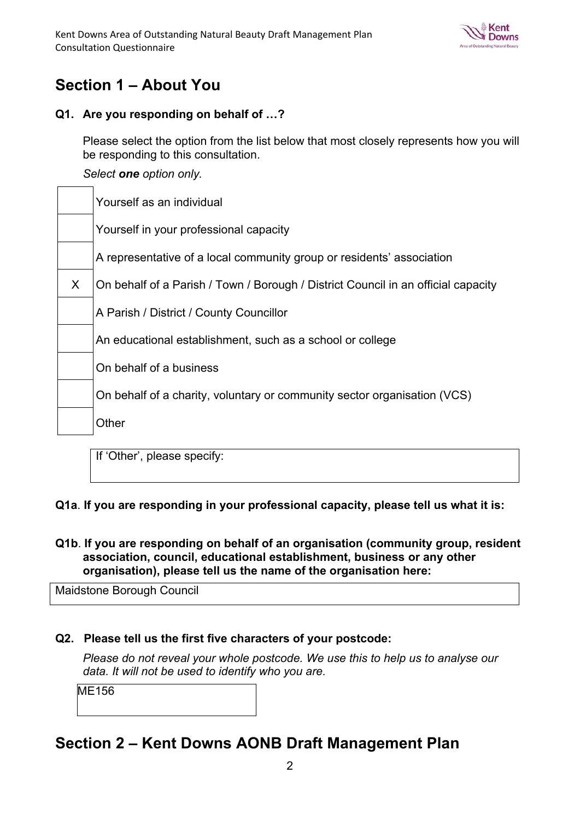

# **Section 1 – About You**

#### **Q1. Are you responding on behalf of …?**

Please select the option from the list below that most closely represents how you will be responding to this consultation.

*Select one option only.*

|   | Yourself as an individual                                                         |
|---|-----------------------------------------------------------------------------------|
|   | Yourself in your professional capacity                                            |
|   | A representative of a local community group or residents' association             |
| X | On behalf of a Parish / Town / Borough / District Council in an official capacity |
|   | A Parish / District / County Councillor                                           |
|   | An educational establishment, such as a school or college                         |
|   | On behalf of a business                                                           |
|   | On behalf of a charity, voluntary or community sector organisation (VCS)          |
|   | Other                                                                             |

If 'Other', please specify:

#### **Q1a**. **If you are responding in your professional capacity, please tell us what it is:**

**Q1b**. **If you are responding on behalf of an organisation (community group, resident association, council, educational establishment, business or any other organisation), please tell us the name of the organisation here:**

Maidstone Borough Council

#### **Q2. Please tell us the first five characters of your postcode:**

*Please do not reveal your whole postcode. We use this to help us to analyse our data. It will not be used to identify who you are.*

ME156

# **Section 2 – Kent Downs AONB Draft Management Plan**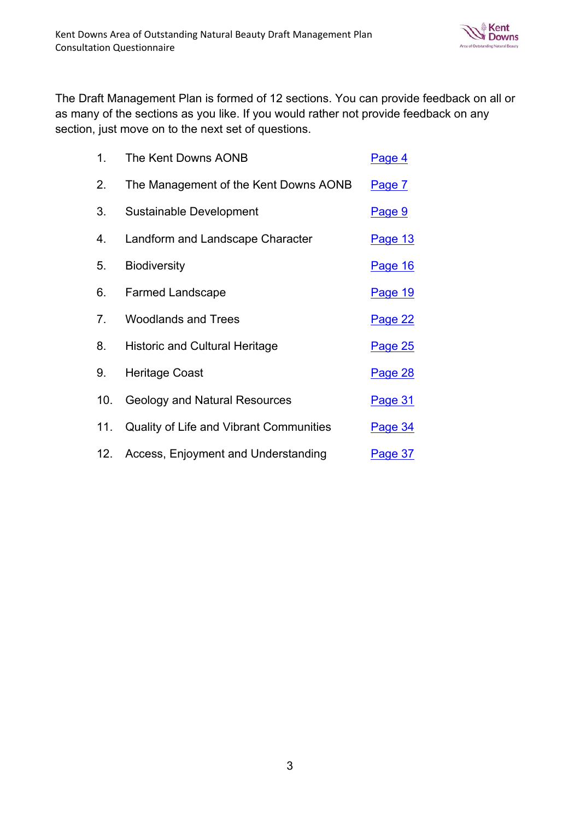

The Draft Management Plan is formed of 12 sections. You can provide feedback on all or as many of the sections as you like. If you would rather not provide feedback on any section, just move on to the next set of questions.

| $1_{-}$ | The Kent Downs AONB                     | Page 4         |
|---------|-----------------------------------------|----------------|
| 2.      | The Management of the Kent Downs AONB   | Page 7         |
| 3.      | Sustainable Development                 | Page 9         |
| 4.      | Landform and Landscape Character        | <b>Page 13</b> |
| 5.      | <b>Biodiversity</b>                     | <b>Page 16</b> |
| 6.      | <b>Farmed Landscape</b>                 | Page 19        |
| 7.      | <b>Woodlands and Trees</b>              | Page 22        |
| 8.      | <b>Historic and Cultural Heritage</b>   | <b>Page 25</b> |
| 9.      | <b>Heritage Coast</b>                   | <u>Page 28</u> |
| 10.     | <b>Geology and Natural Resources</b>    | <b>Page 31</b> |
| 11.     | Quality of Life and Vibrant Communities | Page 34        |
| 12.     | Access, Enjoyment and Understanding     | Page 37        |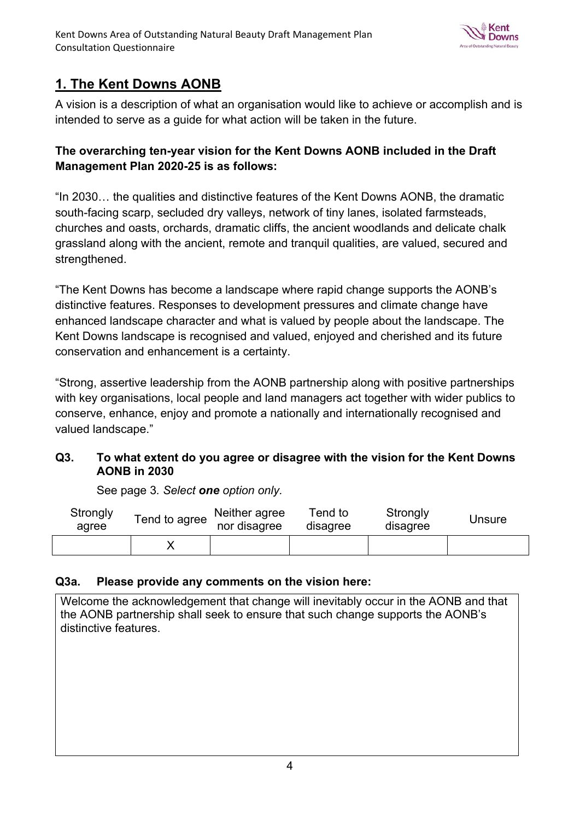

# <span id="page-3-0"></span>**1. The Kent Downs AONB**

A vision is a description of what an organisation would like to achieve or accomplish and is intended to serve as a guide for what action will be taken in the future.

## **The overarching ten-year vision for the Kent Downs AONB included in the Draft Management Plan 2020-25 is as follows:**

"In 2030… the qualities and distinctive features of the Kent Downs AONB, the dramatic south-facing scarp, secluded dry valleys, network of tiny lanes, isolated farmsteads, churches and oasts, orchards, dramatic cliffs, the ancient woodlands and delicate chalk grassland along with the ancient, remote and tranquil qualities, are valued, secured and strengthened.

"The Kent Downs has become a landscape where rapid change supports the AONB's distinctive features. Responses to development pressures and climate change have enhanced landscape character and what is valued by people about the landscape. The Kent Downs landscape is recognised and valued, enjoyed and cherished and its future conservation and enhancement is a certainty.

"Strong, assertive leadership from the AONB partnership along with positive partnerships with key organisations, local people and land managers act together with wider publics to conserve, enhance, enjoy and promote a nationally and internationally recognised and valued landscape."

#### **Q3. To what extent do you agree or disagree with the vision for the Kent Downs AONB in 2030**

**Strongly** agree Tend to agree Neither agree nor disagree Tend to disagree **Strongly** disagree Unsure X

See page 3*. Select one option only.*

#### **Q3a. Please provide any comments on the vision here:**

Welcome the acknowledgement that change will inevitably occur in the AONB and that the AONB partnership shall seek to ensure that such change supports the AONB's distinctive features.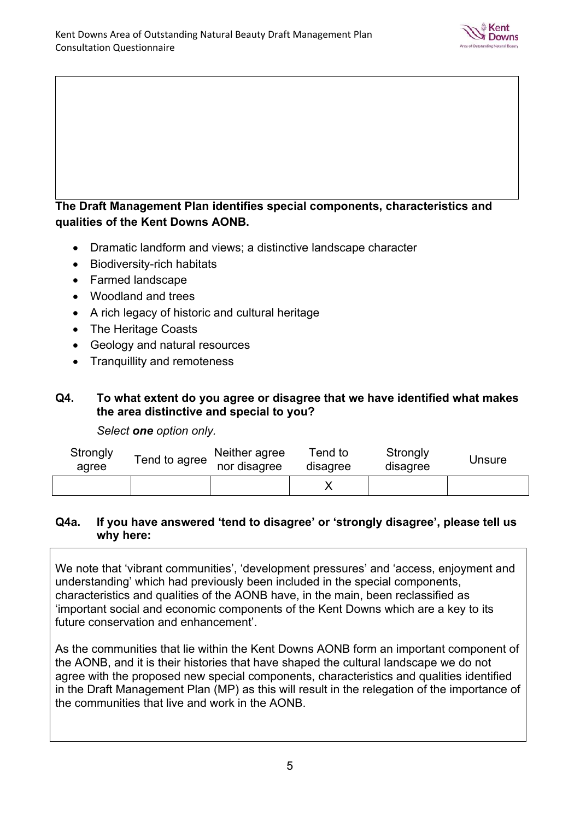

### **The Draft Management Plan identifies special components, characteristics and qualities of the Kent Downs AONB.**

- Dramatic landform and views; a distinctive landscape character
- Biodiversity-rich habitats
- Farmed landscape
- Woodland and trees
- A rich legacy of historic and cultural heritage
- The Heritage Coasts
- Geology and natural resources
- Tranquillity and remoteness

#### **Q4. To what extent do you agree or disagree that we have identified what makes the area distinctive and special to you?**

*Select one option only.*

| Strongly<br>agree | Tend to agree | Neither agree<br>nor disagree | Tend to<br>disagree | Strongly<br>disagree | Unsure |
|-------------------|---------------|-------------------------------|---------------------|----------------------|--------|
|                   |               |                               |                     |                      |        |

#### **Q4a. If you have answered 'tend to disagree' or 'strongly disagree', please tell us why here:**

We note that 'vibrant communities', 'development pressures' and 'access, enjoyment and understanding' which had previously been included in the special components, characteristics and qualities of the AONB have, in the main, been reclassified as 'important social and economic components of the Kent Downs which are a key to its future conservation and enhancement'.

As the communities that lie within the Kent Downs AONB form an important component of the AONB, and it is their histories that have shaped the cultural landscape we do not agree with the proposed new special components, characteristics and qualities identified in the Draft Management Plan (MP) as this will result in the relegation of the importance of the communities that live and work in the AONB.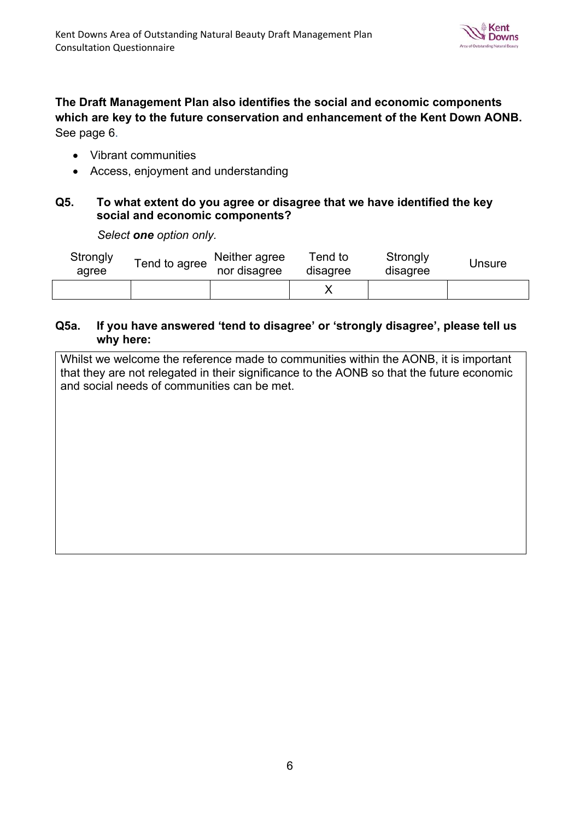

## **The Draft Management Plan also identifies the social and economic components which are key to the future conservation and enhancement of the Kent Down AONB.** See page 6.

- Vibrant communities
- Access, enjoyment and understanding

#### **Q5. To what extent do you agree or disagree that we have identified the key social and economic components?**

*Select one option only.*

| Strongly<br>agree | Tend to agree | Neither agree<br>nor disagree | Tend to<br>disagree | Strongly<br>disagree | Unsure |
|-------------------|---------------|-------------------------------|---------------------|----------------------|--------|
|                   |               |                               |                     |                      |        |

#### **Q5a. If you have answered 'tend to disagree' or 'strongly disagree', please tell us why here:**

Whilst we welcome the reference made to communities within the AONB, it is important that they are not relegated in their significance to the AONB so that the future economic and social needs of communities can be met.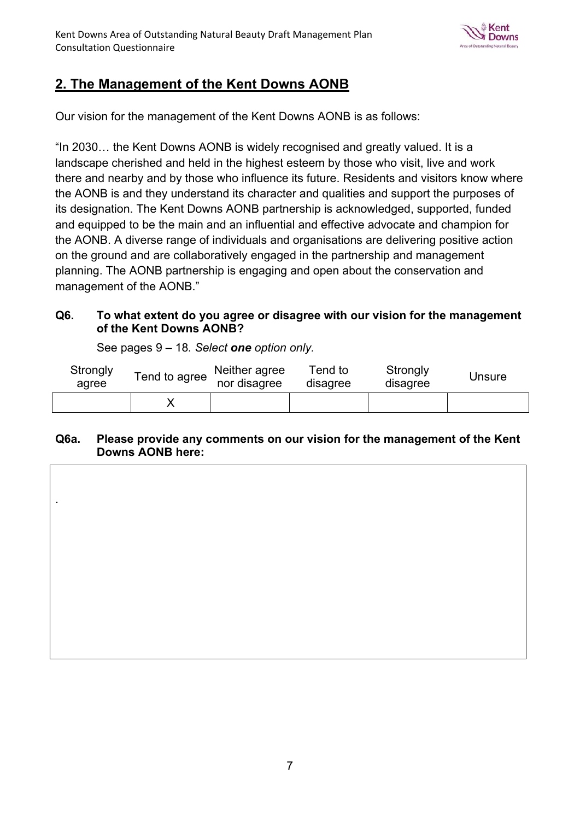

## <span id="page-6-0"></span>**2. The Management of the Kent Downs AONB**

Our vision for the management of the Kent Downs AONB is as follows:

"In 2030… the Kent Downs AONB is widely recognised and greatly valued. It is a landscape cherished and held in the highest esteem by those who visit, live and work there and nearby and by those who influence its future. Residents and visitors know where the AONB is and they understand its character and qualities and support the purposes of its designation. The Kent Downs AONB partnership is acknowledged, supported, funded and equipped to be the main and an influential and effective advocate and champion for the AONB. A diverse range of individuals and organisations are delivering positive action on the ground and are collaboratively engaged in the partnership and management planning. The AONB partnership is engaging and open about the conservation and management of the AONB."

### **Q6. To what extent do you agree or disagree with our vision for the management of the Kent Downs AONB?**

See pages 9 – 18*. Select one option only.*

.

| Strongly<br>agree | Tend to agree | Neither agree<br>nor disagree | Tend to<br>disagree | Strongly<br>disagree | Unsure |
|-------------------|---------------|-------------------------------|---------------------|----------------------|--------|
|                   |               |                               |                     |                      |        |

#### **Q6a. Please provide any comments on our vision for the management of the Kent Downs AONB here:**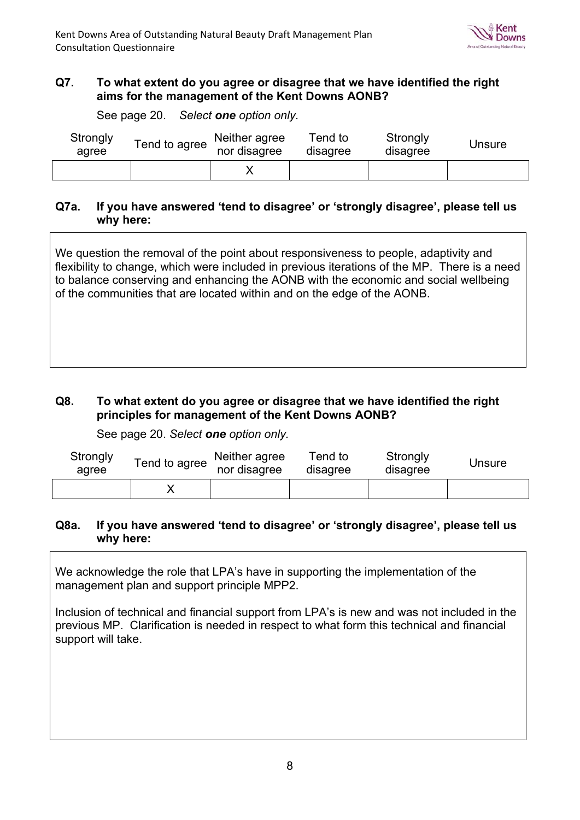

#### **Q7. To what extent do you agree or disagree that we have identified the right aims for the management of the Kent Downs AONB?**

| Strongly<br>agree | Tend to agree | Neither agree<br>nor disagree | Tend to<br>disagree | Strongly<br>disagree | Unsure |
|-------------------|---------------|-------------------------------|---------------------|----------------------|--------|
|                   |               |                               |                     |                      |        |

See page 20. *Select one option only.*

#### **Q7a. If you have answered 'tend to disagree' or 'strongly disagree', please tell us why here:**

We question the removal of the point about responsiveness to people, adaptivity and flexibility to change, which were included in previous iterations of the MP. There is a need to balance conserving and enhancing the AONB with the economic and social wellbeing of the communities that are located within and on the edge of the AONB.

#### **Q8. To what extent do you agree or disagree that we have identified the right principles for management of the Kent Downs AONB?**

See page 20. *Select one option only.*

| Strongly<br>agree | Tend to agree | Neither agree<br>nor disagree | Tend to<br>disagree | Strongly<br>disagree | Unsure |
|-------------------|---------------|-------------------------------|---------------------|----------------------|--------|
|                   |               |                               |                     |                      |        |

#### **Q8a. If you have answered 'tend to disagree' or 'strongly disagree', please tell us why here:**

We acknowledge the role that LPA's have in supporting the implementation of the management plan and support principle MPP2.

Inclusion of technical and financial support from LPA's is new and was not included in the previous MP. Clarification is needed in respect to what form this technical and financial support will take.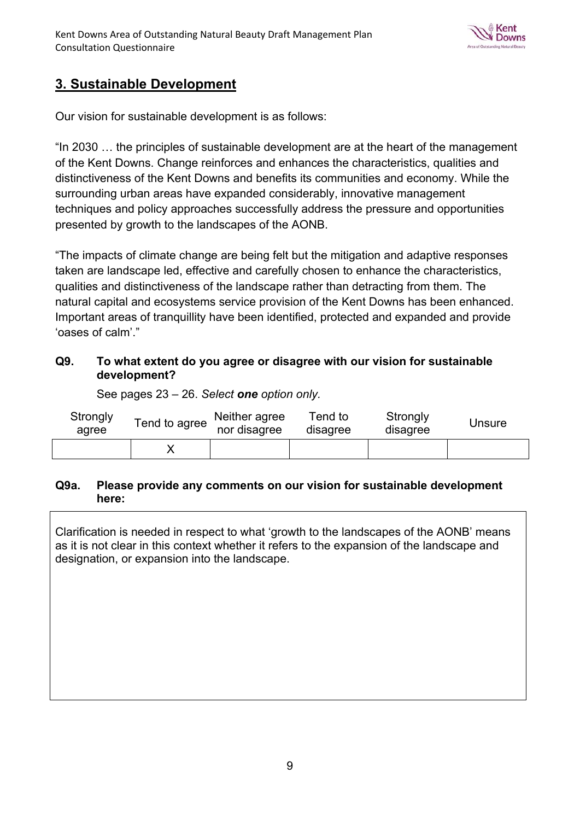

## <span id="page-8-0"></span>**3. Sustainable Development**

Our vision for sustainable development is as follows:

"In 2030 … the principles of sustainable development are at the heart of the management of the Kent Downs. Change reinforces and enhances the characteristics, qualities and distinctiveness of the Kent Downs and benefits its communities and economy. While the surrounding urban areas have expanded considerably, innovative management techniques and policy approaches successfully address the pressure and opportunities presented by growth to the landscapes of the AONB.

"The impacts of climate change are being felt but the mitigation and adaptive responses taken are landscape led, effective and carefully chosen to enhance the characteristics, qualities and distinctiveness of the landscape rather than detracting from them. The natural capital and ecosystems service provision of the Kent Downs has been enhanced. Important areas of tranquillity have been identified, protected and expanded and provide 'oases of calm'."

#### **Q9. To what extent do you agree or disagree with our vision for sustainable development?**

| Strongly<br>agree | Tend to agree | Neither agree<br>nor disagree | Tend to<br>disagree | Strongly<br>disagree | Unsure |
|-------------------|---------------|-------------------------------|---------------------|----------------------|--------|
|                   |               |                               |                     |                      |        |

See pages 23 – 26. *Select one option only.*

#### **Q9a. Please provide any comments on our vision for sustainable development here:**

Clarification is needed in respect to what 'growth to the landscapes of the AONB' means as it is not clear in this context whether it refers to the expansion of the landscape and designation, or expansion into the landscape.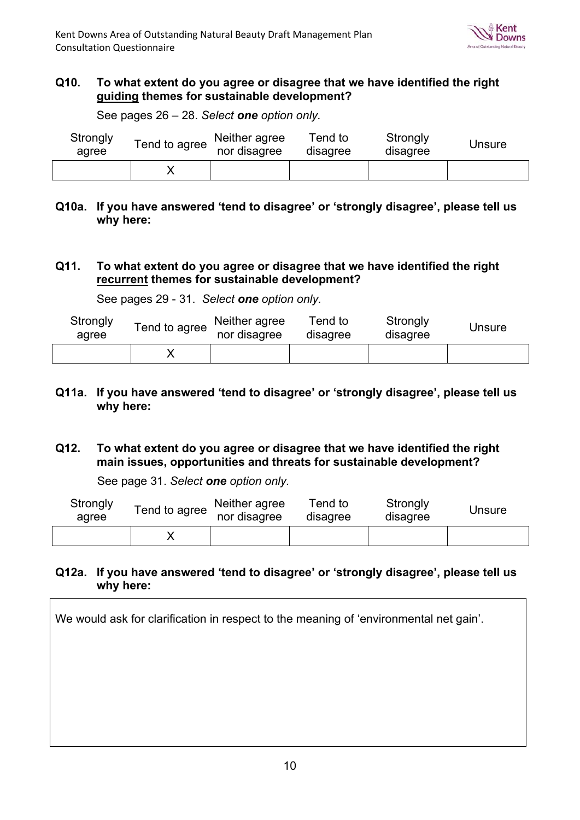

#### **Q10. To what extent do you agree or disagree that we have identified the right guiding themes for sustainable development?**

| Strongly<br>agree | Tend to agree | Neither agree<br>nor disagree | Tend to<br>disagree | Strongly<br>disagree | Unsure |
|-------------------|---------------|-------------------------------|---------------------|----------------------|--------|
|                   |               |                               |                     |                      |        |

See pages 26 – 28. *Select one option only.*

#### **Q10a. If you have answered 'tend to disagree' or 'strongly disagree', please tell us why here:**

#### **Q11. To what extent do you agree or disagree that we have identified the right recurrent themes for sustainable development?**

See pages 29 - 31. *Select one option only.*

| Strongly<br>agree | Tend to agree | Neither agree<br>nor disagree | Tend to<br>disagree | Strongly<br>disagree | Unsure |
|-------------------|---------------|-------------------------------|---------------------|----------------------|--------|
|                   |               |                               |                     |                      |        |

#### **Q11a. If you have answered 'tend to disagree' or 'strongly disagree', please tell us why here:**

#### **Q12. To what extent do you agree or disagree that we have identified the right main issues, opportunities and threats for sustainable development?**

See page 31. *Select one option only.*

| Strongly<br>agree | Tend to agree | Neither agree<br>nor disagree | Tend to<br>disagree | Strongly<br>disagree | Unsure |
|-------------------|---------------|-------------------------------|---------------------|----------------------|--------|
|                   |               |                               |                     |                      |        |

#### **Q12a. If you have answered 'tend to disagree' or 'strongly disagree', please tell us why here:**

We would ask for clarification in respect to the meaning of 'environmental net gain'.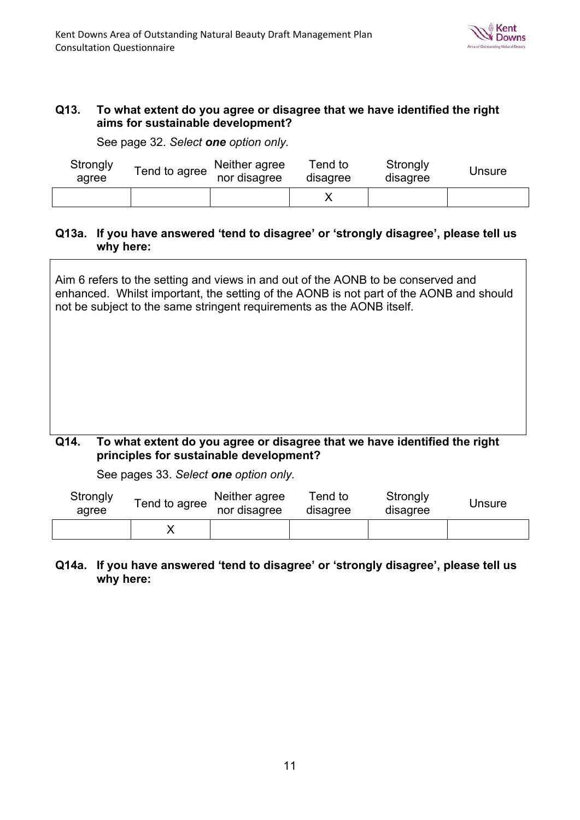

#### **Q13. To what extent do you agree or disagree that we have identified the right aims for sustainable development?**

See page 32. *Select one option only.*

| Strongly<br>agree | Tend to agree | Neither agree<br>nor disagree | Tend to<br>disagree | Strongly<br>disagree | Unsure |
|-------------------|---------------|-------------------------------|---------------------|----------------------|--------|
|                   |               |                               |                     |                      |        |

#### **Q13a. If you have answered 'tend to disagree' or 'strongly disagree', please tell us why here:**

Aim 6 refers to the setting and views in and out of the AONB to be conserved and enhanced. Whilst important, the setting of the AONB is not part of the AONB and should not be subject to the same stringent requirements as the AONB itself.

#### **Q14. To what extent do you agree or disagree that we have identified the right principles for sustainable development?**

See pages 33. *Select one option only.*

| Strongly<br>agree | Tend to agree | Neither agree<br>nor disagree | Tend to<br>disagree | Strongly<br>disagree | Unsure |
|-------------------|---------------|-------------------------------|---------------------|----------------------|--------|
|                   |               |                               |                     |                      |        |

#### **Q14a. If you have answered 'tend to disagree' or 'strongly disagree', please tell us why here:**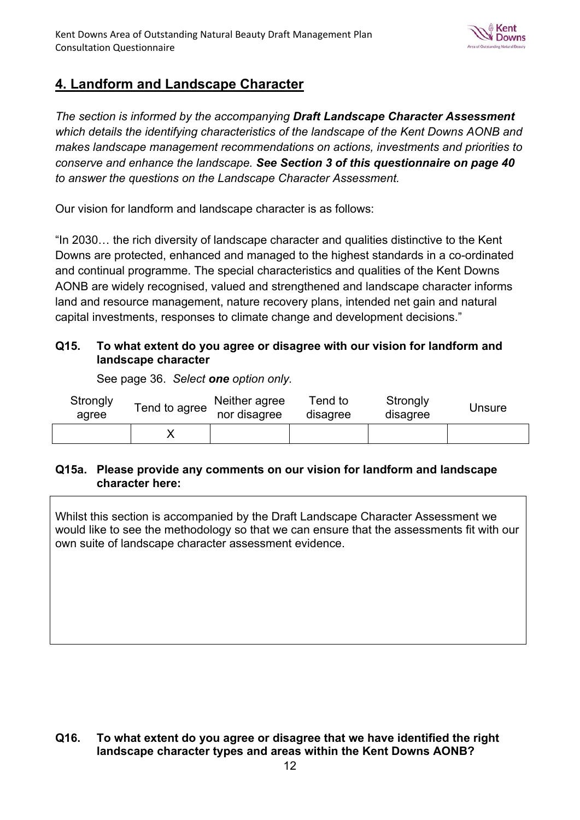

## <span id="page-11-0"></span>**4. Landform and Landscape Character**

*The section is informed by the accompanying Draft Landscape Character Assessment which details the identifying characteristics of the landscape of the Kent Downs AONB and makes landscape management recommendations on actions, investments and priorities to conserve and enhance the landscape. See Section 3 of this questionnaire on page 40 to answer the questions on the Landscape Character Assessment.*

Our vision for landform and landscape character is as follows:

"In 2030… the rich diversity of landscape character and qualities distinctive to the Kent Downs are protected, enhanced and managed to the highest standards in a co-ordinated and continual programme. The special characteristics and qualities of the Kent Downs AONB are widely recognised, valued and strengthened and landscape character informs land and resource management, nature recovery plans, intended net gain and natural capital investments, responses to climate change and development decisions."

#### **Q15. To what extent do you agree or disagree with our vision for landform and landscape character**

See page 36. *Select one option only.*

| Strongly<br>agree | Tend to agree | Neither agree<br>nor disagree | Tend to<br>disagree | Strongly<br>disagree | Unsure |
|-------------------|---------------|-------------------------------|---------------------|----------------------|--------|
|                   |               |                               |                     |                      |        |

#### **Q15a. Please provide any comments on our vision for landform and landscape character here:**

Whilst this section is accompanied by the Draft Landscape Character Assessment we would like to see the methodology so that we can ensure that the assessments fit with our own suite of landscape character assessment evidence.

**Q16. To what extent do you agree or disagree that we have identified the right landscape character types and areas within the Kent Downs AONB?**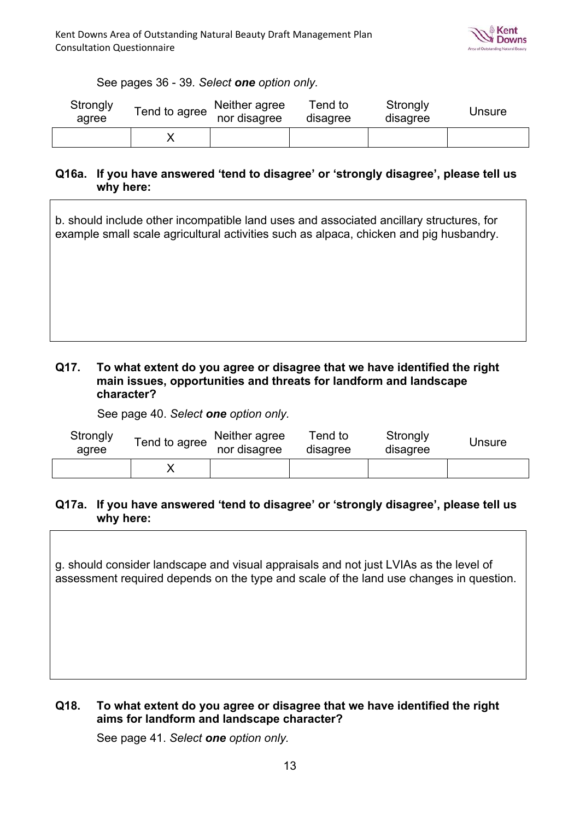

#### See pages 36 - 39*. Select one option only.*

| Strongly<br>agree | Tend to agree | Neither agree<br>nor disagree | Tend to<br>disagree | Strongly<br>disagree | Unsure |
|-------------------|---------------|-------------------------------|---------------------|----------------------|--------|
|                   |               |                               |                     |                      |        |

#### **Q16a. If you have answered 'tend to disagree' or 'strongly disagree', please tell us why here:**

b. should include other incompatible land uses and associated ancillary structures, for example small scale agricultural activities such as alpaca, chicken and pig husbandry.

#### **Q17. To what extent do you agree or disagree that we have identified the right main issues, opportunities and threats for landform and landscape character?**

See page 40. *Select one option only.*

| Strongly<br>agree | Tend to agree | Neither agree<br>nor disagree | Tend to<br>disagree | Strongly<br>disagree | Unsure |
|-------------------|---------------|-------------------------------|---------------------|----------------------|--------|
|                   |               |                               |                     |                      |        |

#### **Q17a. If you have answered 'tend to disagree' or 'strongly disagree', please tell us why here:**

g. should consider landscape and visual appraisals and not just LVIAs as the level of assessment required depends on the type and scale of the land use changes in question.

#### **Q18. To what extent do you agree or disagree that we have identified the right aims for landform and landscape character?**

See page 41. *Select one option only.*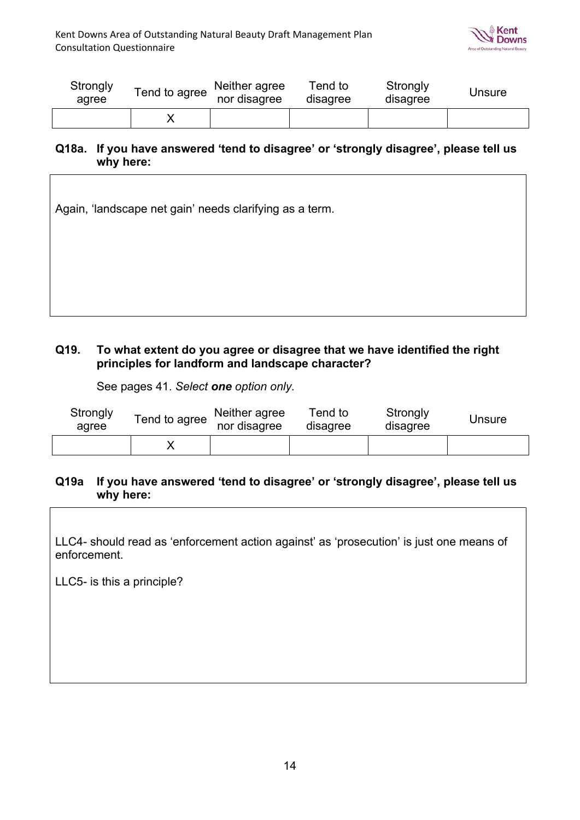

| Strongly<br>agree | Tend to agree | Neither agree<br>nor disagree | Tend to<br>disagree | Strongly<br>disagree | Unsure |
|-------------------|---------------|-------------------------------|---------------------|----------------------|--------|
|                   |               |                               |                     |                      |        |

#### **Q18a. If you have answered 'tend to disagree' or 'strongly disagree', please tell us why here:**

| Again, 'landscape net gain' needs clarifying as a term. |
|---------------------------------------------------------|
|                                                         |
|                                                         |

#### **Q19. To what extent do you agree or disagree that we have identified the right principles for landform and landscape character?**

See pages 41. *Select one option only.*

| Strongly<br>agree | Tend to agree | Neither agree<br>nor disagree | Tend to<br>disagree | Strongly<br>disagree | Unsure |
|-------------------|---------------|-------------------------------|---------------------|----------------------|--------|
|                   |               |                               |                     |                      |        |

#### **Q19a If you have answered 'tend to disagree' or 'strongly disagree', please tell us why here:**

LLC4- should read as 'enforcement action against' as 'prosecution' is just one means of enforcement.

LLC5- is this a principle?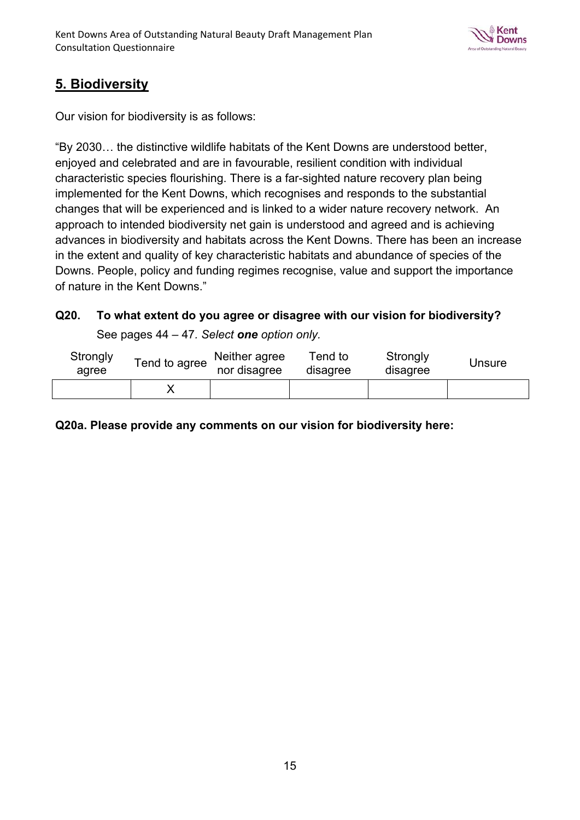

## <span id="page-14-0"></span>**5. Biodiversity**

Our vision for biodiversity is as follows:

"By 2030… the distinctive wildlife habitats of the Kent Downs are understood better, enjoyed and celebrated and are in favourable, resilient condition with individual characteristic species flourishing. There is a far-sighted nature recovery plan being implemented for the Kent Downs, which recognises and responds to the substantial changes that will be experienced and is linked to a wider nature recovery network. An approach to intended biodiversity net gain is understood and agreed and is achieving advances in biodiversity and habitats across the Kent Downs. There has been an increase in the extent and quality of key characteristic habitats and abundance of species of the Downs. People, policy and funding regimes recognise, value and support the importance of nature in the Kent Downs."

### **Q20. To what extent do you agree or disagree with our vision for biodiversity?**

See pages 44 – 47*. Select one option only.*

| Strongly<br>agree | Tend to agree | Neither agree<br>nor disagree | Tend to<br>disagree | Strongly<br>disagree | Unsure |
|-------------------|---------------|-------------------------------|---------------------|----------------------|--------|
|                   |               |                               |                     |                      |        |

**Q20a. Please provide any comments on our vision for biodiversity here:**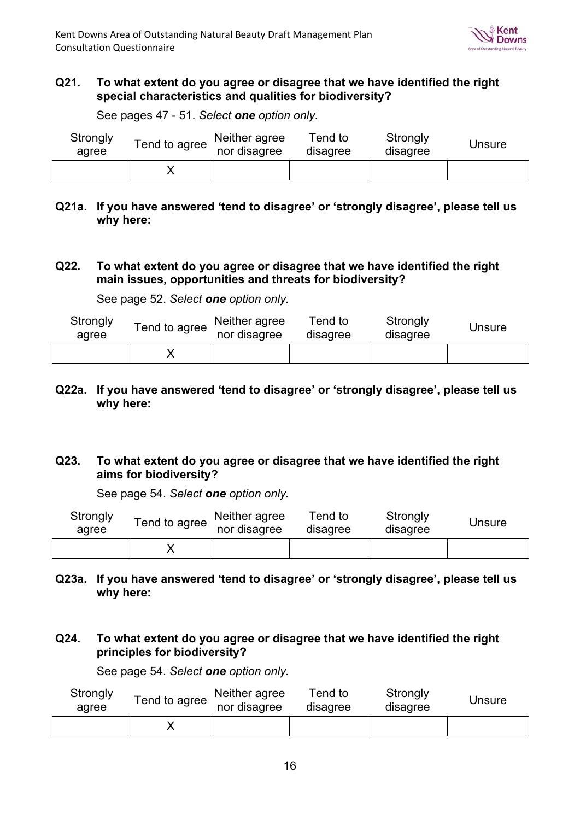

#### **Q21. To what extent do you agree or disagree that we have identified the right special characteristics and qualities for biodiversity?**

| Strongly<br>agree | Tend to agree | Neither agree<br>nor disagree | Tend to<br>disagree | Strongly<br>disagree | Unsure |
|-------------------|---------------|-------------------------------|---------------------|----------------------|--------|
|                   |               |                               |                     |                      |        |

See pages 47 - 51. *Select one option only.*

#### **Q21a. If you have answered 'tend to disagree' or 'strongly disagree', please tell us why here:**

#### **Q22. To what extent do you agree or disagree that we have identified the right main issues, opportunities and threats for biodiversity?**

See page 52. *Select one option only.*

| Strongly<br>agree | Tend to agree | Neither agree<br>nor disagree | Tend to<br>disagree | Strongly<br>disagree | Unsure |
|-------------------|---------------|-------------------------------|---------------------|----------------------|--------|
|                   |               |                               |                     |                      |        |

#### **Q22a. If you have answered 'tend to disagree' or 'strongly disagree', please tell us why here:**

#### **Q23. To what extent do you agree or disagree that we have identified the right aims for biodiversity?**

See page 54. *Select one option only.*

| Strongly<br>agree | Tend to agree | Neither agree<br>nor disagree | Tend to<br>disagree | Strongly<br>disagree | Unsure |
|-------------------|---------------|-------------------------------|---------------------|----------------------|--------|
|                   |               |                               |                     |                      |        |

#### **Q23a. If you have answered 'tend to disagree' or 'strongly disagree', please tell us why here:**

#### **Q24. To what extent do you agree or disagree that we have identified the right principles for biodiversity?**

See page 54. *Select one option only.*

| Strongly<br>agree | Tend to agree | Neither agree<br>nor disagree | Tend to<br>disagree | Strongly<br>disagree | Unsure |
|-------------------|---------------|-------------------------------|---------------------|----------------------|--------|
|                   |               |                               |                     |                      |        |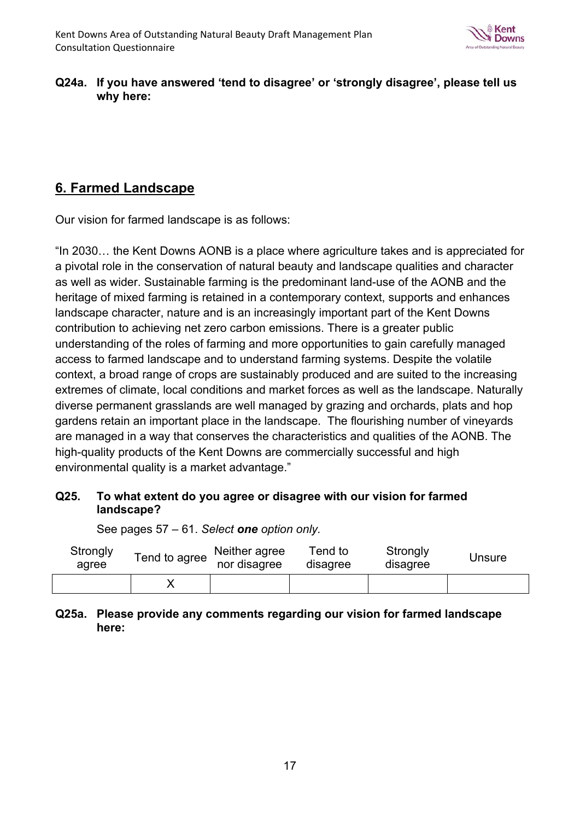

#### **Q24a. If you have answered 'tend to disagree' or 'strongly disagree', please tell us why here:**

## <span id="page-16-0"></span>**6. Farmed Landscape**

Our vision for farmed landscape is as follows:

"In 2030… the Kent Downs AONB is a place where agriculture takes and is appreciated for a pivotal role in the conservation of natural beauty and landscape qualities and character as well as wider. Sustainable farming is the predominant land-use of the AONB and the heritage of mixed farming is retained in a contemporary context, supports and enhances landscape character, nature and is an increasingly important part of the Kent Downs contribution to achieving net zero carbon emissions. There is a greater public understanding of the roles of farming and more opportunities to gain carefully managed access to farmed landscape and to understand farming systems. Despite the volatile context, a broad range of crops are sustainably produced and are suited to the increasing extremes of climate, local conditions and market forces as well as the landscape. Naturally diverse permanent grasslands are well managed by grazing and orchards, plats and hop gardens retain an important place in the landscape. The flourishing number of vineyards are managed in a way that conserves the characteristics and qualities of the AONB. The high-quality products of the Kent Downs are commercially successful and high environmental quality is a market advantage."

#### **Q25. To what extent do you agree or disagree with our vision for farmed landscape?**

| Strongly<br>agree | Tend to agree | Neither agree<br>nor disagree | Tend to<br>disagree | Strongly<br>disagree | Unsure |
|-------------------|---------------|-------------------------------|---------------------|----------------------|--------|
|                   |               |                               |                     |                      |        |

See pages 57 – 61. *Select one option only.*

#### **Q25a. Please provide any comments regarding our vision for farmed landscape here:**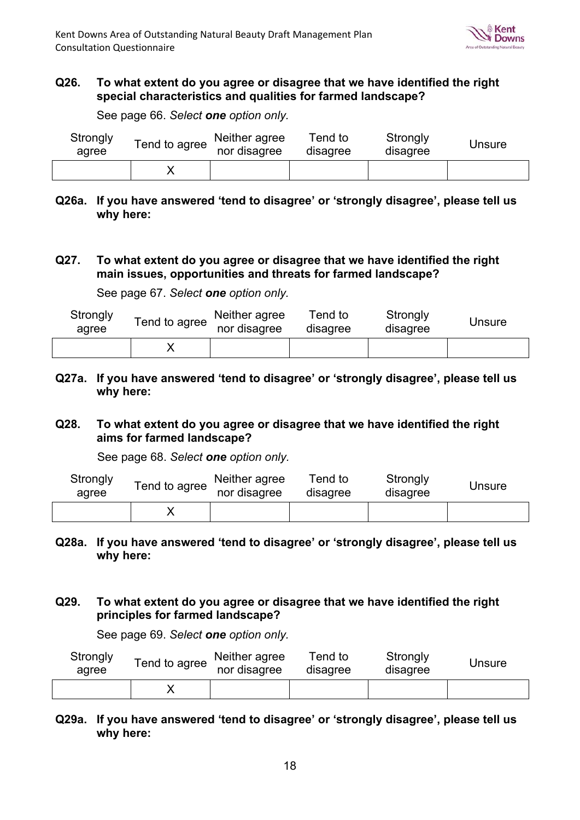

#### **Q26. To what extent do you agree or disagree that we have identified the right special characteristics and qualities for farmed landscape?**

| Strongly<br>agree | Tend to agree | Neither agree<br>nor disagree | Tend to<br>disagree | Strongly<br>disagree | Unsure |
|-------------------|---------------|-------------------------------|---------------------|----------------------|--------|
|                   |               |                               |                     |                      |        |

See page 66. *Select one option only.*

#### **Q26a. If you have answered 'tend to disagree' or 'strongly disagree', please tell us why here:**

**Q27. To what extent do you agree or disagree that we have identified the right main issues, opportunities and threats for farmed landscape?**

See page 67. *Select one option only.*

| Strongly<br>agree | Tend to agree | Neither agree<br>nor disagree | Tend to<br>disagree | Strongly<br>disagree | Unsure |
|-------------------|---------------|-------------------------------|---------------------|----------------------|--------|
|                   |               |                               |                     |                      |        |

**Q27a. If you have answered 'tend to disagree' or 'strongly disagree', please tell us why here:**

#### **Q28. To what extent do you agree or disagree that we have identified the right aims for farmed landscape?**

See page 68. *Select one option only.*

| Strongly<br>agree | Tend to agree | Neither agree<br>nor disagree | Tend to<br>disagree | Strongly<br>disagree | Unsure |
|-------------------|---------------|-------------------------------|---------------------|----------------------|--------|
|                   |               |                               |                     |                      |        |

#### **Q28a. If you have answered 'tend to disagree' or 'strongly disagree', please tell us why here:**

#### **Q29. To what extent do you agree or disagree that we have identified the right principles for farmed landscape?**

See page 69. *Select one option only.*

| Strongly<br>agree | Tend to agree | Neither agree<br>nor disagree | Tend to<br>disagree | Strongly<br>disagree | Unsure |
|-------------------|---------------|-------------------------------|---------------------|----------------------|--------|
|                   |               |                               |                     |                      |        |

**Q29a. If you have answered 'tend to disagree' or 'strongly disagree', please tell us why here:**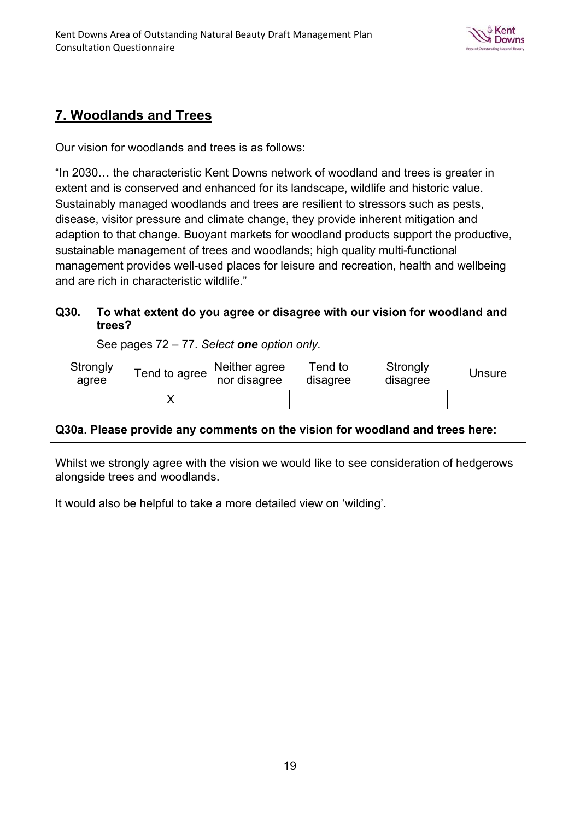

# <span id="page-18-0"></span>**7. Woodlands and Trees**

Our vision for woodlands and trees is as follows:

"In 2030… the characteristic Kent Downs network of woodland and trees is greater in extent and is conserved and enhanced for its landscape, wildlife and historic value. Sustainably managed woodlands and trees are resilient to stressors such as pests, disease, visitor pressure and climate change, they provide inherent mitigation and adaption to that change. Buoyant markets for woodland products support the productive, sustainable management of trees and woodlands; high quality multi-functional management provides well-used places for leisure and recreation, health and wellbeing and are rich in characteristic wildlife."

#### **Q30. To what extent do you agree or disagree with our vision for woodland and trees?**

See pages 72 – 77*. Select one option only.*

| Strongly<br>agree | Tend to agree | Neither agree<br>nor disagree | Tend to<br>disagree | Strongly<br>disagree | Unsure |
|-------------------|---------------|-------------------------------|---------------------|----------------------|--------|
|                   |               |                               |                     |                      |        |

#### **Q30a. Please provide any comments on the vision for woodland and trees here:**

Whilst we strongly agree with the vision we would like to see consideration of hedgerows alongside trees and woodlands.

It would also be helpful to take a more detailed view on 'wilding'.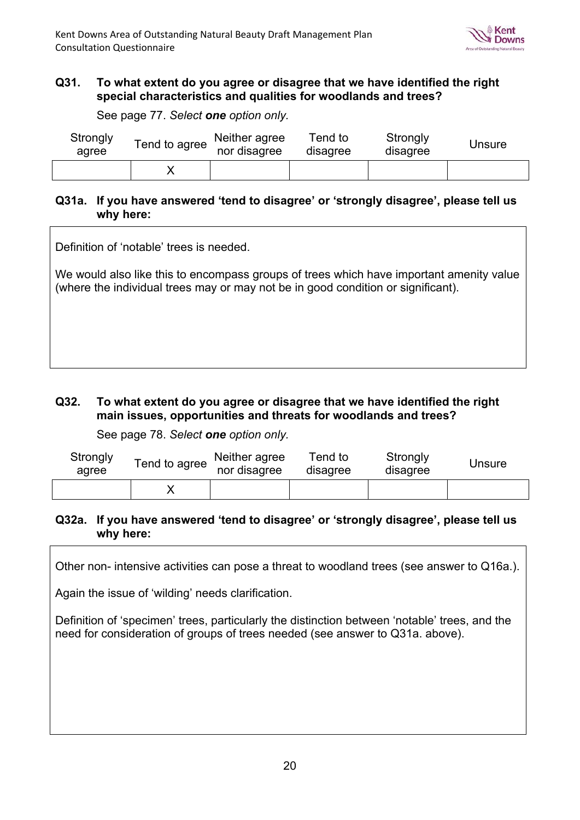

#### **Q31. To what extent do you agree or disagree that we have identified the right special characteristics and qualities for woodlands and trees?**

| Strongly<br>agree | Tend to agree | Neither agree<br>nor disagree | Tend to<br>disagree | Strongly<br>disagree | Unsure |
|-------------------|---------------|-------------------------------|---------------------|----------------------|--------|
|                   |               |                               |                     |                      |        |

See page 77. *Select one option only.*

#### **Q31a. If you have answered 'tend to disagree' or 'strongly disagree', please tell us why here:**

Definition of 'notable' trees is needed.

We would also like this to encompass groups of trees which have important amenity value (where the individual trees may or may not be in good condition or significant).

#### **Q32. To what extent do you agree or disagree that we have identified the right main issues, opportunities and threats for woodlands and trees?**

See page 78. *Select one option only.*

| Strongly<br>agree | Tend to agree | Neither agree<br>nor disagree | Tend to<br>disagree | Strongly<br>disagree | Unsure |
|-------------------|---------------|-------------------------------|---------------------|----------------------|--------|
|                   |               |                               |                     |                      |        |

#### **Q32a. If you have answered 'tend to disagree' or 'strongly disagree', please tell us why here:**

Other non- intensive activities can pose a threat to woodland trees (see answer to Q16a.).

Again the issue of 'wilding' needs clarification.

Definition of 'specimen' trees, particularly the distinction between 'notable' trees, and the need for consideration of groups of trees needed (see answer to Q31a. above).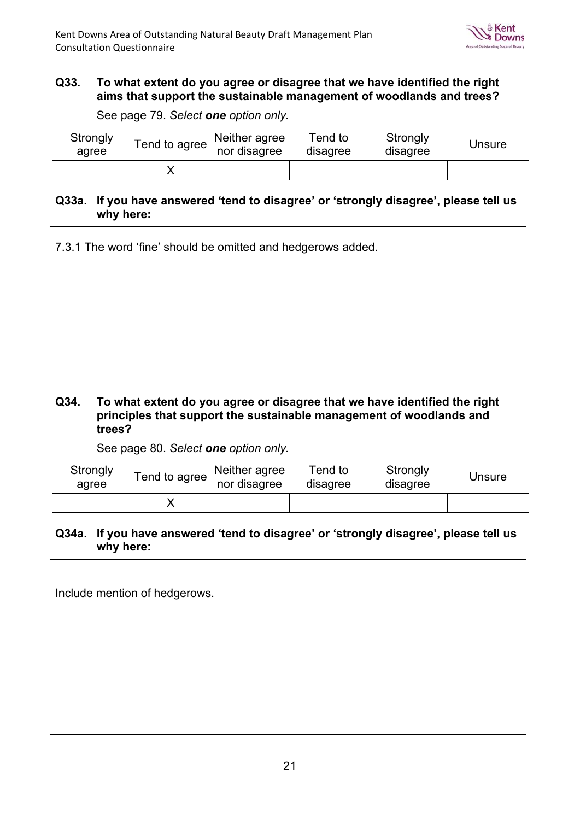

#### **Q33. To what extent do you agree or disagree that we have identified the right aims that support the sustainable management of woodlands and trees?**

| Strongly<br>agree | Tend to agree | Neither agree<br>nor disagree | Tend to<br>disagree | Strongly<br>disagree | Unsure |
|-------------------|---------------|-------------------------------|---------------------|----------------------|--------|
|                   |               |                               |                     |                      |        |

See page 79. *Select one option only.*

#### **Q33a. If you have answered 'tend to disagree' or 'strongly disagree', please tell us why here:**

7.3.1 The word 'fine' should be omitted and hedgerows added.

#### **Q34. To what extent do you agree or disagree that we have identified the right principles that support the sustainable management of woodlands and trees?**

See page 80. *Select one option only.*

| Strongly<br>agree | Tend to agree | Neither agree<br>nor disagree | Tend to<br>disagree | Strongly<br>disagree | Unsure |
|-------------------|---------------|-------------------------------|---------------------|----------------------|--------|
|                   |               |                               |                     |                      |        |

#### **Q34a. If you have answered 'tend to disagree' or 'strongly disagree', please tell us why here:**

Include mention of hedgerows.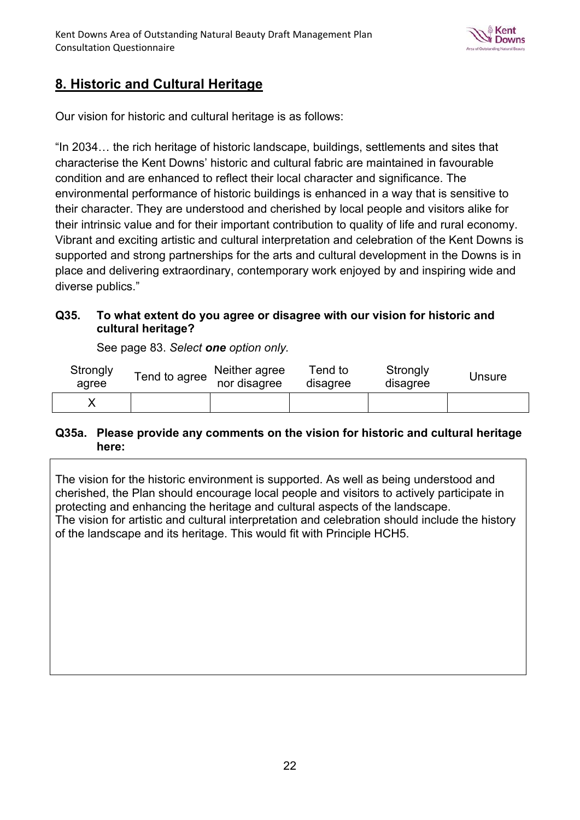

## <span id="page-21-0"></span>**8. Historic and Cultural Heritage**

Our vision for historic and cultural heritage is as follows:

"In 2034… the rich heritage of historic landscape, buildings, settlements and sites that characterise the Kent Downs' historic and cultural fabric are maintained in favourable condition and are enhanced to reflect their local character and significance. The environmental performance of historic buildings is enhanced in a way that is sensitive to their character. They are understood and cherished by local people and visitors alike for their intrinsic value and for their important contribution to quality of life and rural economy. Vibrant and exciting artistic and cultural interpretation and celebration of the Kent Downs is supported and strong partnerships for the arts and cultural development in the Downs is in place and delivering extraordinary, contemporary work enjoyed by and inspiring wide and diverse publics."

### **Q35. To what extent do you agree or disagree with our vision for historic and cultural heritage?**

See page 83. *Select one option only.*

| Strongly<br>agree | Tend to agree | Neither agree<br>nor disagree | Tend to<br>disagree | Strongly<br>disagree | Unsure |
|-------------------|---------------|-------------------------------|---------------------|----------------------|--------|
|                   |               |                               |                     |                      |        |

#### **Q35a. Please provide any comments on the vision for historic and cultural heritage here:**

The vision for the historic environment is supported. As well as being understood and cherished, the Plan should encourage local people and visitors to actively participate in protecting and enhancing the heritage and cultural aspects of the landscape. The vision for artistic and cultural interpretation and celebration should include the history of the landscape and its heritage. This would fit with Principle HCH5.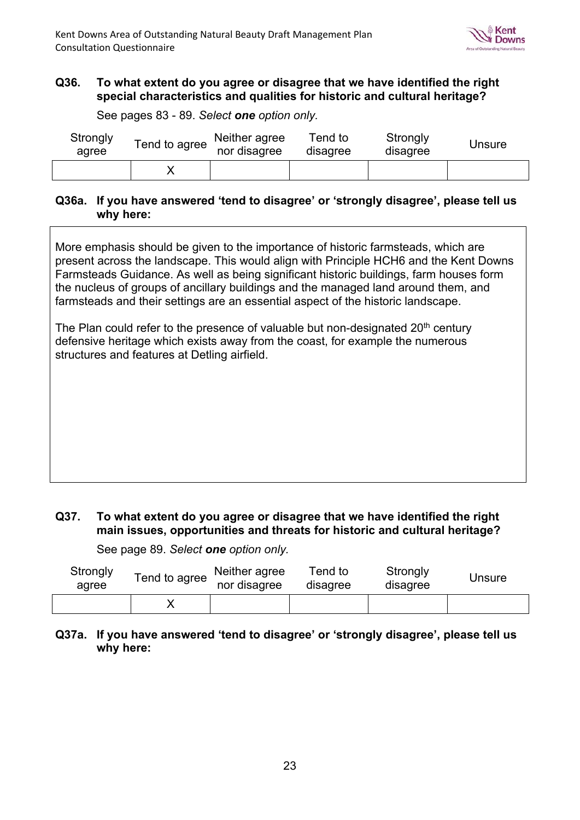

#### **Q36. To what extent do you agree or disagree that we have identified the right special characteristics and qualities for historic and cultural heritage?**

| Strongly<br>agree | Tend to agree | Neither agree<br>nor disagree | Tend to<br>disagree | Strongly<br>disagree | Unsure |
|-------------------|---------------|-------------------------------|---------------------|----------------------|--------|
|                   |               |                               |                     |                      |        |

See pages 83 - 89. *Select one option only.*

#### **Q36a. If you have answered 'tend to disagree' or 'strongly disagree', please tell us why here:**

More emphasis should be given to the importance of historic farmsteads, which are present across the landscape. This would align with Principle HCH6 and the Kent Downs Farmsteads Guidance. As well as being significant historic buildings, farm houses form the nucleus of groups of ancillary buildings and the managed land around them, and farmsteads and their settings are an essential aspect of the historic landscape.

The Plan could refer to the presence of valuable but non-designated 20<sup>th</sup> century defensive heritage which exists away from the coast, for example the numerous structures and features at Detling airfield.

#### **Q37. To what extent do you agree or disagree that we have identified the right main issues, opportunities and threats for historic and cultural heritage?**

See page 89. *Select one option only.*

| Strongly<br>agree | Tend to agree | Neither agree<br>nor disagree | Tend to<br>disagree | Strongly<br>disagree | Unsure |
|-------------------|---------------|-------------------------------|---------------------|----------------------|--------|
|                   |               |                               |                     |                      |        |

#### **Q37a. If you have answered 'tend to disagree' or 'strongly disagree', please tell us why here:**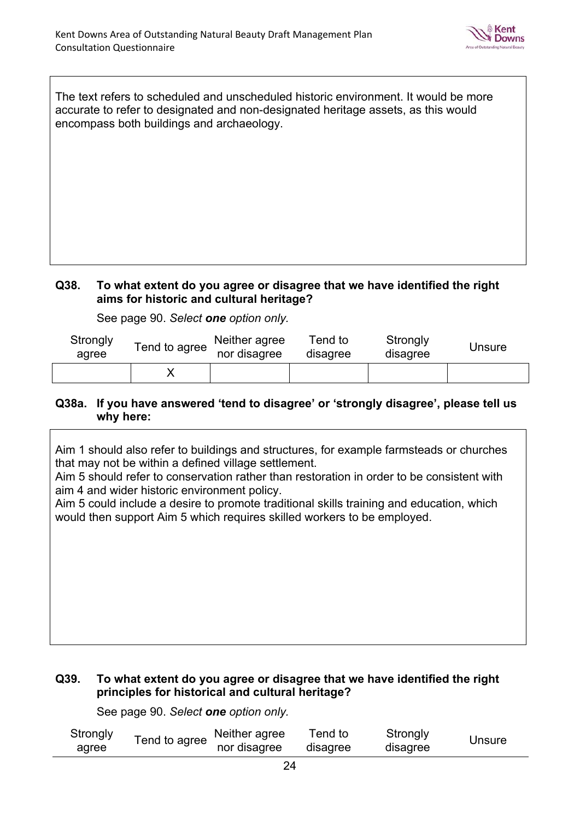

The text refers to scheduled and unscheduled historic environment. It would be more accurate to refer to designated and non-designated heritage assets, as this would encompass both buildings and archaeology.

#### **Q38. To what extent do you agree or disagree that we have identified the right aims for historic and cultural heritage?**

See page 90. *Select one option only.*

| Strongly<br>agree | Tend to agree | Neither agree<br>nor disagree | Tend to<br>disagree | Strongly<br>disagree | Unsure |
|-------------------|---------------|-------------------------------|---------------------|----------------------|--------|
|                   |               |                               |                     |                      |        |

#### **Q38a. If you have answered 'tend to disagree' or 'strongly disagree', please tell us why here:**

Aim 1 should also refer to buildings and structures, for example farmsteads or churches that may not be within a defined village settlement.

Aim 5 should refer to conservation rather than restoration in order to be consistent with aim 4 and wider historic environment policy.

Aim 5 could include a desire to promote traditional skills training and education, which would then support Aim 5 which requires skilled workers to be employed.

#### **Q39. To what extent do you agree or disagree that we have identified the right principles for historical and cultural heritage?**

See page 90. *Select one option only.*

| Strongly | Tend to agree | Neither agree | Tend to  | Strongly |        |
|----------|---------------|---------------|----------|----------|--------|
| agree    |               | nor disagree  | disagree | disagree | Unsure |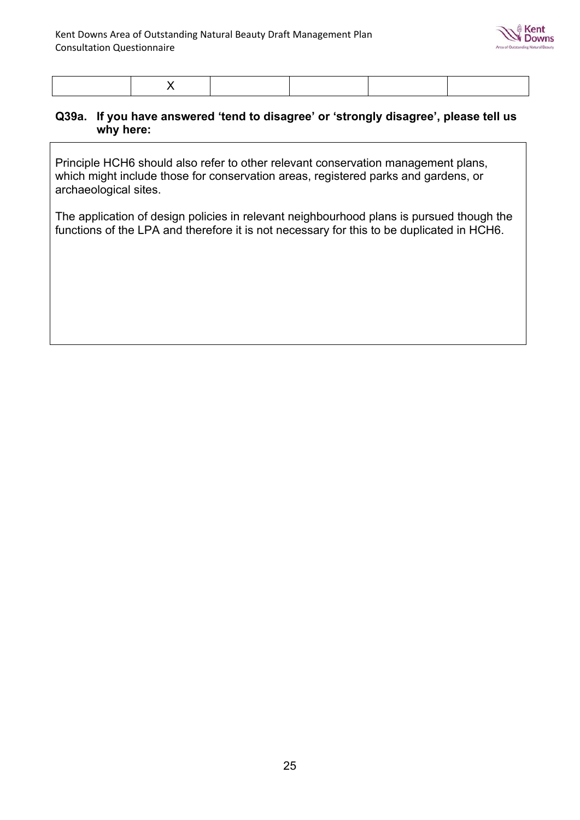

|--|--|

#### **Q39a. If you have answered 'tend to disagree' or 'strongly disagree', please tell us why here:**

Principle HCH6 should also refer to other relevant conservation management plans, which might include those for conservation areas, registered parks and gardens, or archaeological sites.

The application of design policies in relevant neighbourhood plans is pursued though the functions of the LPA and therefore it is not necessary for this to be duplicated in HCH6.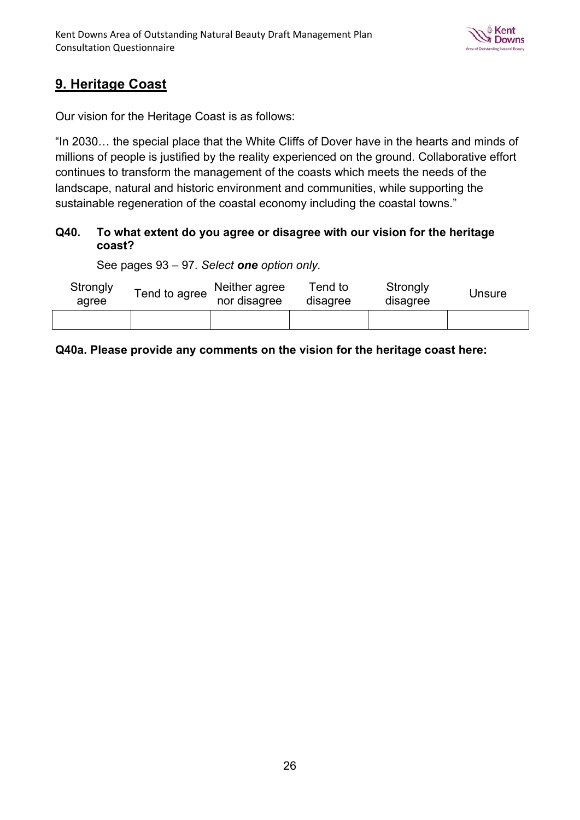

## <span id="page-25-0"></span>**9. Heritage Coast**

Our vision for the Heritage Coast is as follows:

"In 2030… the special place that the White Cliffs of Dover have in the hearts and minds of millions of people is justified by the reality experienced on the ground. Collaborative effort continues to transform the management of the coasts which meets the needs of the landscape, natural and historic environment and communities, while supporting the sustainable regeneration of the coastal economy including the coastal towns."

#### **Q40. To what extent do you agree or disagree with our vision for the heritage coast?**

See pages 93 – 97*. Select one option only.*

| Strongly<br>agree | Tend to agree | Neither agree<br>nor disagree | Tend to<br>disagree | Strongly<br>disagree | Unsure |
|-------------------|---------------|-------------------------------|---------------------|----------------------|--------|
|                   |               |                               |                     |                      |        |

**Q40a. Please provide any comments on the vision for the heritage coast here:**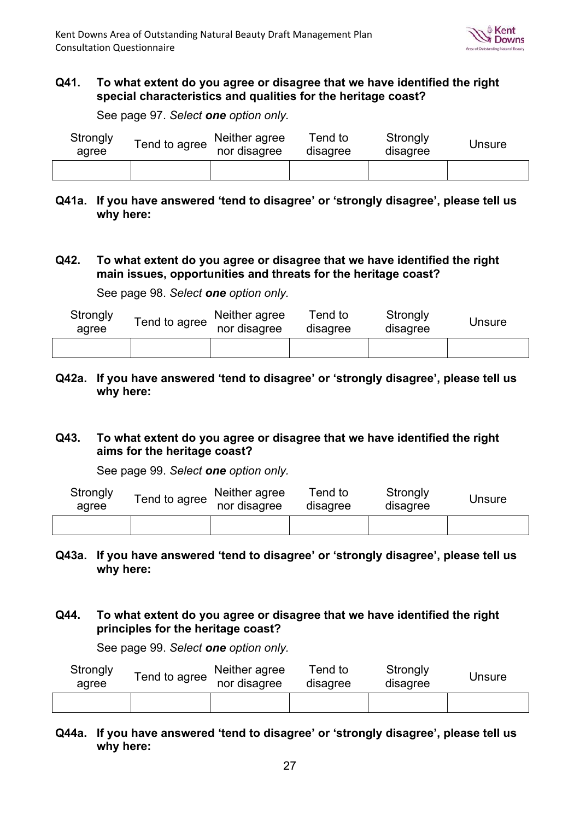

#### **Q41. To what extent do you agree or disagree that we have identified the right special characteristics and qualities for the heritage coast?**

| Strongly<br>agree | Tend to agree | Neither agree<br>nor disagree | Tend to<br>disagree | Strongly<br>disagree | Unsure |
|-------------------|---------------|-------------------------------|---------------------|----------------------|--------|
|                   |               |                               |                     |                      |        |

See page 97. *Select one option only.*

#### **Q41a. If you have answered 'tend to disagree' or 'strongly disagree', please tell us why here:**

#### **Q42. To what extent do you agree or disagree that we have identified the right main issues, opportunities and threats for the heritage coast?**

See page 98. *Select one option only.*

| Strongly<br>agree | Tend to agree | Neither agree<br>nor disagree | Tend to<br>disagree | Strongly<br>disagree | Unsure |
|-------------------|---------------|-------------------------------|---------------------|----------------------|--------|
|                   |               |                               |                     |                      |        |

**Q42a. If you have answered 'tend to disagree' or 'strongly disagree', please tell us why here:**

#### **Q43. To what extent do you agree or disagree that we have identified the right aims for the heritage coast?**

See page 99. *Select one option only.*

| Strongly<br>agree | Tend to agree | Neither agree<br>nor disagree | Tend to<br>disagree | Strongly<br>disagree | Unsure |
|-------------------|---------------|-------------------------------|---------------------|----------------------|--------|
|                   |               |                               |                     |                      |        |

**Q43a. If you have answered 'tend to disagree' or 'strongly disagree', please tell us why here:**

#### **Q44. To what extent do you agree or disagree that we have identified the right principles for the heritage coast?**

See page 99. *Select one option only.*

| Strongly<br>agree | Tend to agree | Neither agree<br>nor disagree | Tend to<br>disagree | Strongly<br>disagree | Unsure |
|-------------------|---------------|-------------------------------|---------------------|----------------------|--------|
|                   |               |                               |                     |                      |        |

#### **Q44a. If you have answered 'tend to disagree' or 'strongly disagree', please tell us why here:**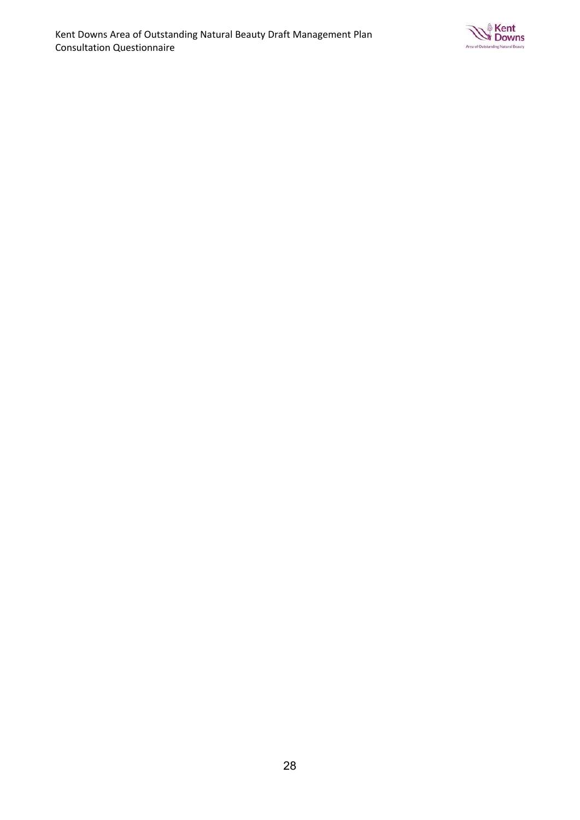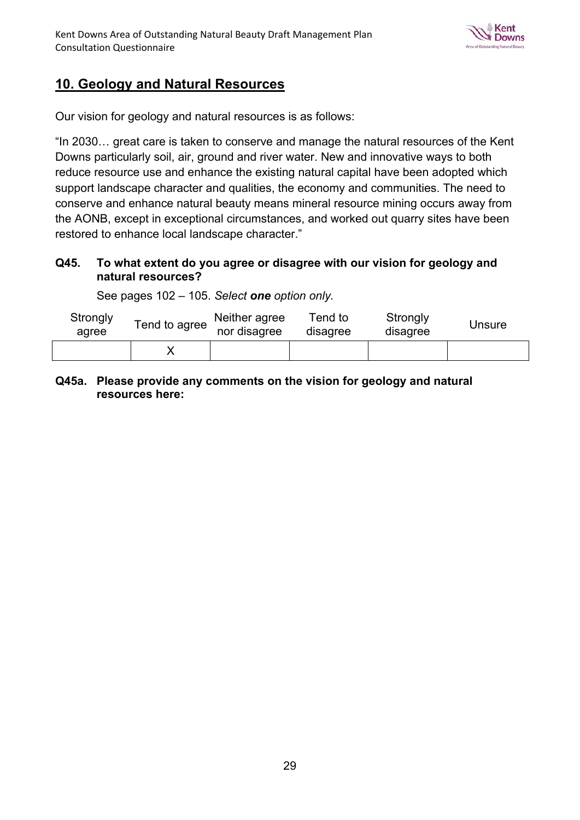

## <span id="page-28-0"></span>**10. Geology and Natural Resources**

Our vision for geology and natural resources is as follows:

"In 2030… great care is taken to conserve and manage the natural resources of the Kent Downs particularly soil, air, ground and river water. New and innovative ways to both reduce resource use and enhance the existing natural capital have been adopted which support landscape character and qualities, the economy and communities. The need to conserve and enhance natural beauty means mineral resource mining occurs away from the AONB, except in exceptional circumstances, and worked out quarry sites have been restored to enhance local landscape character."

#### **Q45. To what extent do you agree or disagree with our vision for geology and natural resources?**

See pages 102 – 105. *Select one option only.*

| Strongly<br>agree | Tend to agree | Neither agree<br>nor disagree | Tend to<br>disagree | Strongly<br>disagree | Unsure |
|-------------------|---------------|-------------------------------|---------------------|----------------------|--------|
|                   |               |                               |                     |                      |        |

#### **Q45a. Please provide any comments on the vision for geology and natural resources here:**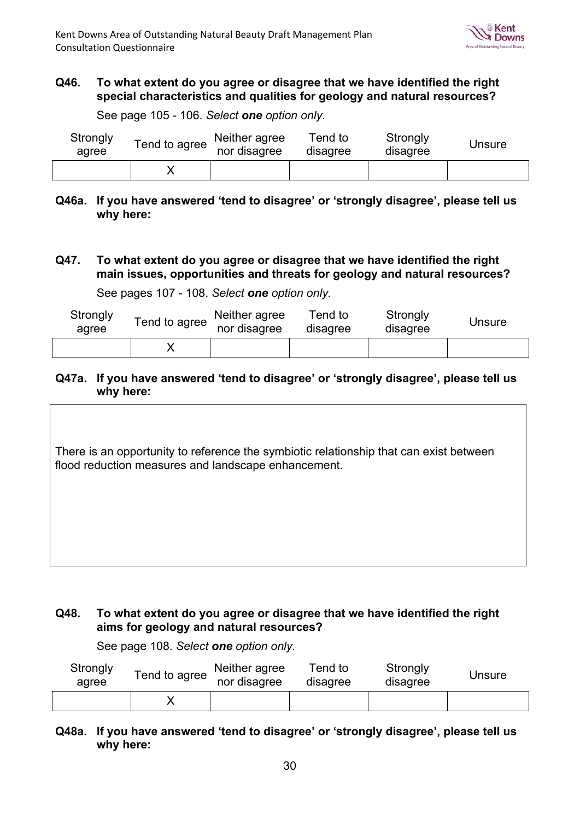

#### **Q46. To what extent do you agree or disagree that we have identified the right special characteristics and qualities for geology and natural resources?**

| Strongly<br>agree | Tend to agree | Neither agree<br>nor disagree | Tend to<br>disagree | Strongly<br>disagree | Unsure |
|-------------------|---------------|-------------------------------|---------------------|----------------------|--------|
|                   |               |                               |                     |                      |        |

See page 105 - 106. *Select one option only.*

#### **Q46a. If you have answered 'tend to disagree' or 'strongly disagree', please tell us why here:**

#### **Q47. To what extent do you agree or disagree that we have identified the right main issues, opportunities and threats for geology and natural resources?**

See pages 107 - 108. *Select one option only.*

| Strongly<br>agree | Tend to agree | Neither agree<br>nor disagree | Tend to<br>disagree | Strongly<br>disagree | Unsure |
|-------------------|---------------|-------------------------------|---------------------|----------------------|--------|
|                   |               |                               |                     |                      |        |

#### **Q47a. If you have answered 'tend to disagree' or 'strongly disagree', please tell us why here:**

There is an opportunity to reference the symbiotic relationship that can exist between flood reduction measures and landscape enhancement.

#### **Q48. To what extent do you agree or disagree that we have identified the right aims for geology and natural resources?**

| Strongly<br>agree | Tend to agree | Neither agree<br>nor disagree | Tend to<br>disagree | Strongly<br>disagree | Unsure |
|-------------------|---------------|-------------------------------|---------------------|----------------------|--------|
|                   |               |                               |                     |                      |        |

See page 108. *Select one option only.*

#### **Q48a. If you have answered 'tend to disagree' or 'strongly disagree', please tell us why here:**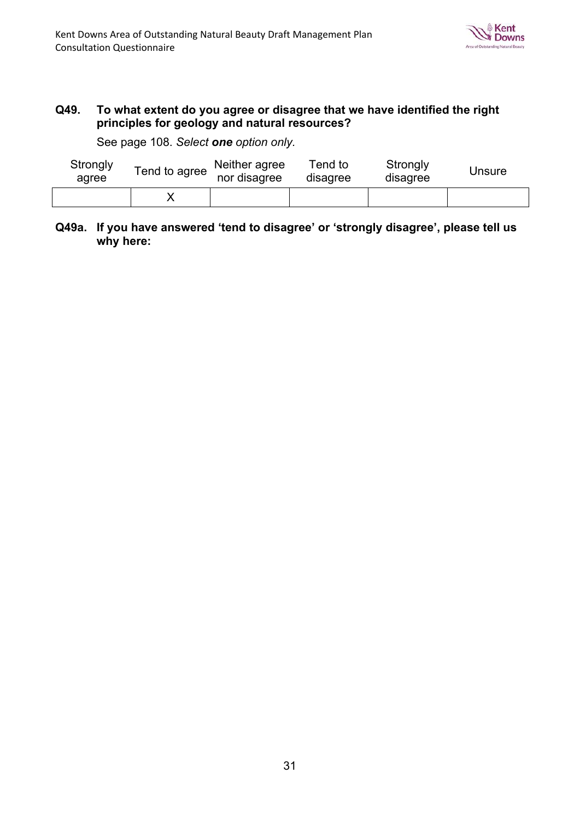

#### **Q49. To what extent do you agree or disagree that we have identified the right principles for geology and natural resources?**

See page 108. *Select one option only.*

| Strongly<br>agree | Tend to agree | Neither agree<br>nor disagree | Tend to<br>disagree | Strongly<br>disagree | Unsure |
|-------------------|---------------|-------------------------------|---------------------|----------------------|--------|
|                   |               |                               |                     |                      |        |

#### **Q49a. If you have answered 'tend to disagree' or 'strongly disagree', please tell us why here:**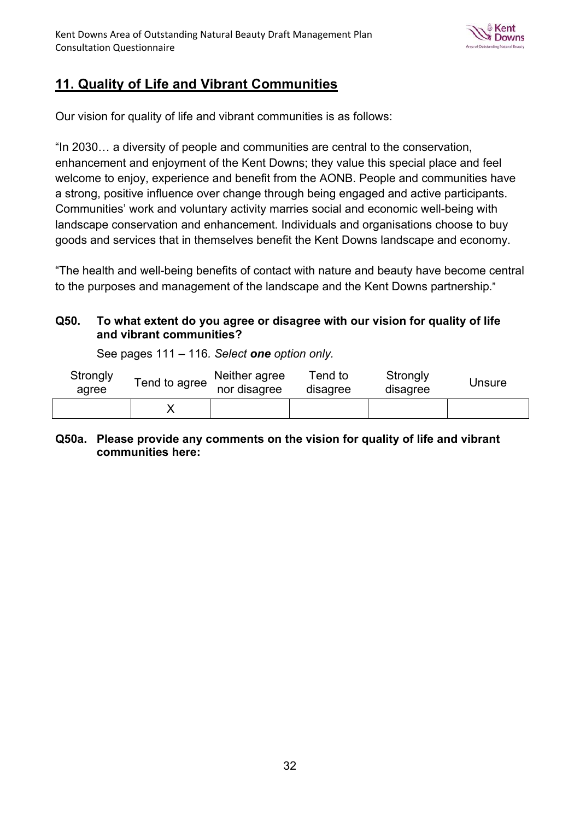

# <span id="page-31-0"></span>**11. Quality of Life and Vibrant Communities**

Our vision for quality of life and vibrant communities is as follows:

"In 2030… a diversity of people and communities are central to the conservation, enhancement and enjoyment of the Kent Downs; they value this special place and feel welcome to enjoy, experience and benefit from the AONB. People and communities have a strong, positive influence over change through being engaged and active participants. Communities' work and voluntary activity marries social and economic well-being with landscape conservation and enhancement. Individuals and organisations choose to buy goods and services that in themselves benefit the Kent Downs landscape and economy.

"The health and well-being benefits of contact with nature and beauty have become central to the purposes and management of the landscape and the Kent Downs partnership."

#### **Q50. To what extent do you agree or disagree with our vision for quality of life and vibrant communities?**

See pages 111 – 116*. Select one option only.*

| Strongly<br>agree | Tend to agree | Neither agree<br>nor disagree | Tend to<br>disagree | Strongly<br>disagree | Unsure |
|-------------------|---------------|-------------------------------|---------------------|----------------------|--------|
|                   |               |                               |                     |                      |        |

#### **Q50a. Please provide any comments on the vision for quality of life and vibrant communities here:**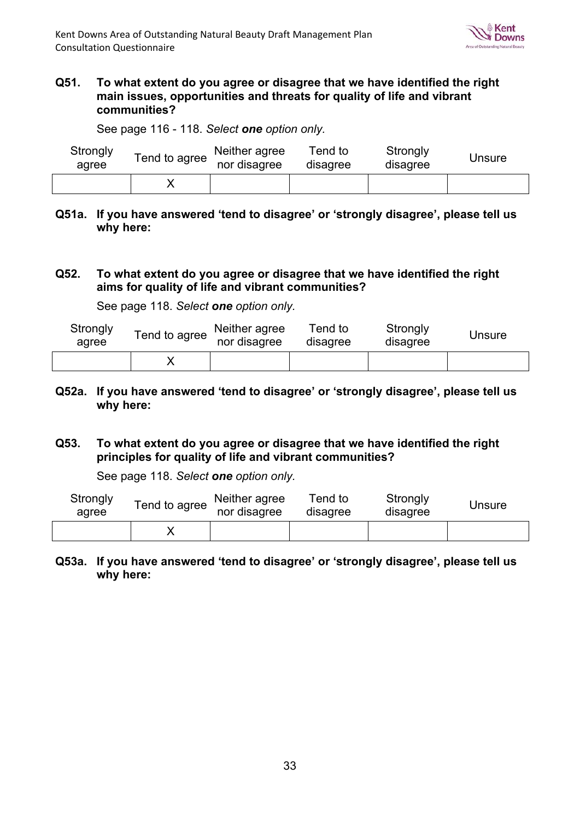See page 116 - 118. *Select one option only.*



#### **Q51. To what extent do you agree or disagree that we have identified the right main issues, opportunities and threats for quality of life and vibrant communities?**

| Strongly<br>agree | Tend to agree | Neither agree<br>nor disagree | Tend to<br>disagree | Strongly<br>disagree | Unsure |
|-------------------|---------------|-------------------------------|---------------------|----------------------|--------|
|                   |               |                               |                     |                      |        |

- **Q51a. If you have answered 'tend to disagree' or 'strongly disagree', please tell us why here:**
- **Q52. To what extent do you agree or disagree that we have identified the right aims for quality of life and vibrant communities?**

See page 118. *Select one option only.*

| Strongly<br>agree | Tend to agree | Neither agree<br>nor disagree | Tend to<br>disagree | Strongly<br>disagree | Unsure |
|-------------------|---------------|-------------------------------|---------------------|----------------------|--------|
|                   |               |                               |                     |                      |        |

**Q52a. If you have answered 'tend to disagree' or 'strongly disagree', please tell us why here:**

#### **Q53. To what extent do you agree or disagree that we have identified the right principles for quality of life and vibrant communities?**

See page 118. *Select one option only.*

| Strongly<br>agree | Tend to agree | Neither agree<br>nor disagree | Tend to<br>disagree | Strongly<br>disagree | Unsure |
|-------------------|---------------|-------------------------------|---------------------|----------------------|--------|
|                   |               |                               |                     |                      |        |

#### **Q53a. If you have answered 'tend to disagree' or 'strongly disagree', please tell us why here:**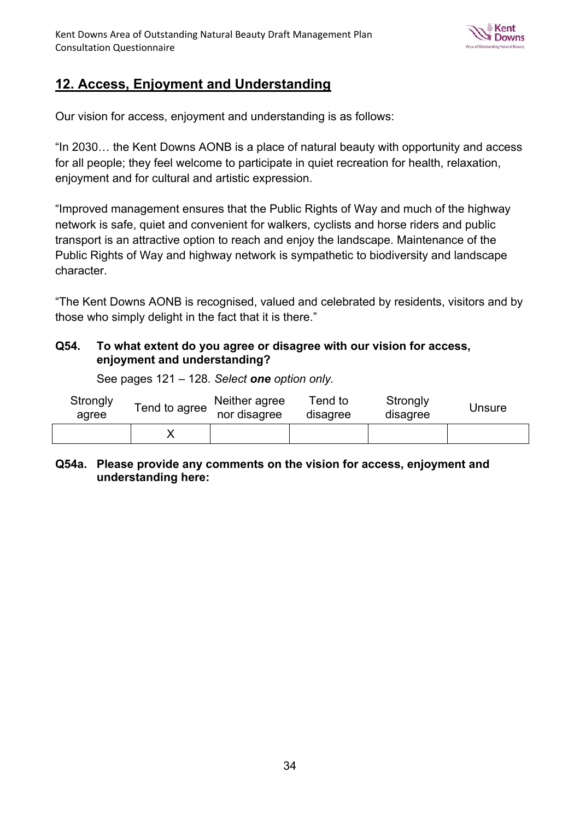

## <span id="page-33-0"></span>**12. Access, Enjoyment and Understanding**

Our vision for access, enjoyment and understanding is as follows:

"In 2030… the Kent Downs AONB is a place of natural beauty with opportunity and access for all people; they feel welcome to participate in quiet recreation for health, relaxation, enjoyment and for cultural and artistic expression.

"Improved management ensures that the Public Rights of Way and much of the highway network is safe, quiet and convenient for walkers, cyclists and horse riders and public transport is an attractive option to reach and enjoy the landscape. Maintenance of the Public Rights of Way and highway network is sympathetic to biodiversity and landscape character.

"The Kent Downs AONB is recognised, valued and celebrated by residents, visitors and by those who simply delight in the fact that it is there."

#### **Q54. To what extent do you agree or disagree with our vision for access, enjoyment and understanding?**

See pages 121 – 128*. Select one option only.*

| Strongly<br>agree | Tend to agree | Neither agree<br>nor disagree | Tend to<br>disagree | Strongly<br>disagree | Unsure |
|-------------------|---------------|-------------------------------|---------------------|----------------------|--------|
|                   |               |                               |                     |                      |        |

#### **Q54a. Please provide any comments on the vision for access, enjoyment and understanding here:**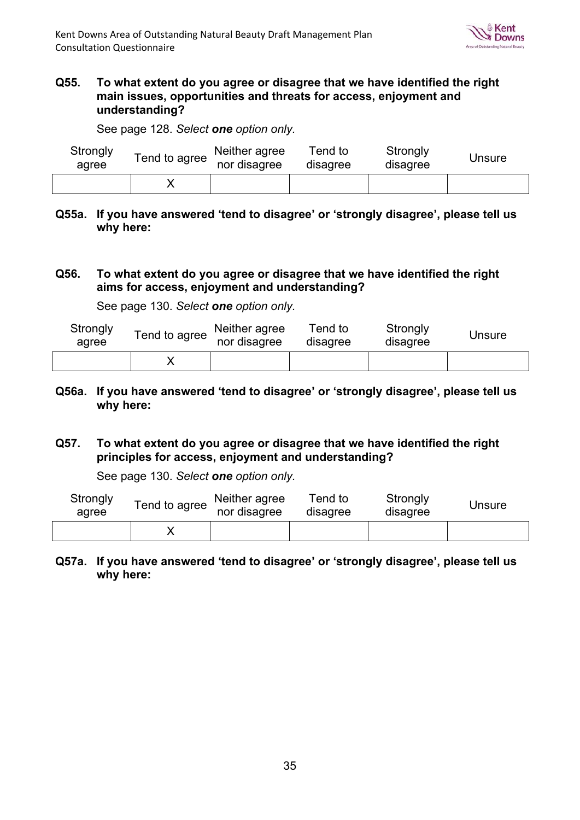See page 128. *Select one option only.*



#### **Q55. To what extent do you agree or disagree that we have identified the right main issues, opportunities and threats for access, enjoyment and understanding?**

| Strongly<br>agree | Tend to agree | Neither agree<br>nor disagree | Tend to<br>disagree | Strongly<br>disagree | Unsure |
|-------------------|---------------|-------------------------------|---------------------|----------------------|--------|
|                   |               |                               |                     |                      |        |

**Q55a. If you have answered 'tend to disagree' or 'strongly disagree', please tell us why here:**

#### **Q56. To what extent do you agree or disagree that we have identified the right aims for access, enjoyment and understanding?**

See page 130. *Select one option only.*

| Strongly<br>agree | Tend to agree | Neither agree<br>nor disagree | Tend to<br>disagree | Strongly<br>disagree | Unsure |
|-------------------|---------------|-------------------------------|---------------------|----------------------|--------|
|                   |               |                               |                     |                      |        |

#### **Q56a. If you have answered 'tend to disagree' or 'strongly disagree', please tell us why here:**

#### **Q57. To what extent do you agree or disagree that we have identified the right principles for access, enjoyment and understanding?**

See page 130. *Select one option only.*

| Strongly<br>agree | Tend to agree | Neither agree<br>nor disagree | Tend to<br>disagree | Strongly<br>disagree | Unsure |
|-------------------|---------------|-------------------------------|---------------------|----------------------|--------|
|                   |               |                               |                     |                      |        |

#### **Q57a. If you have answered 'tend to disagree' or 'strongly disagree', please tell us why here:**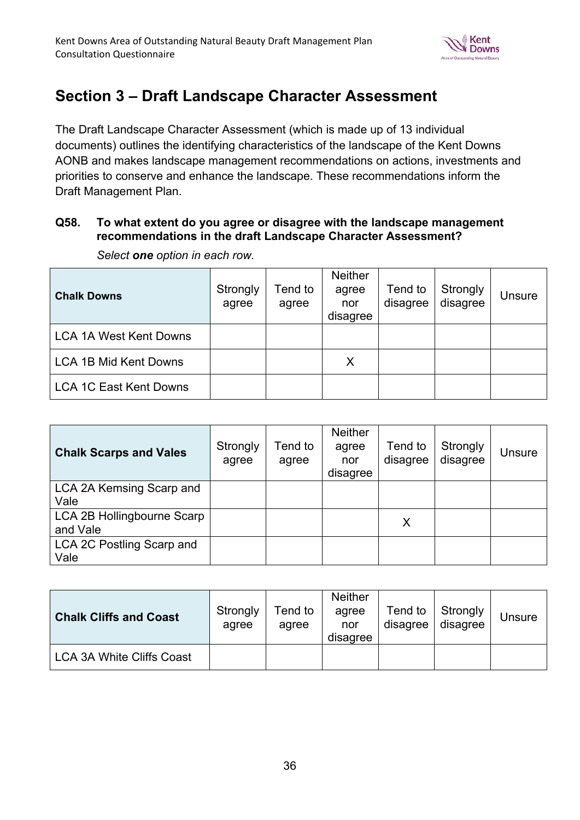

# **Section 3 – Draft Landscape Character Assessment**

The Draft Landscape Character Assessment (which is made up of 13 individual documents) outlines the identifying characteristics of the landscape of the Kent Downs AONB and makes landscape management recommendations on actions, investments and priorities to conserve and enhance the landscape. These recommendations inform the Draft Management Plan.

### **Q58. To what extent do you agree or disagree with the landscape management recommendations in the draft Landscape Character Assessment?**

| <b>Chalk Downs</b>            | Strongly<br>agree | Tend to<br>agree | <b>Neither</b><br>agree<br>nor<br>disagree | Tend to<br>disagree | Strongly<br>disagree | Unsure |
|-------------------------------|-------------------|------------------|--------------------------------------------|---------------------|----------------------|--------|
| <b>LCA 1A West Kent Downs</b> |                   |                  |                                            |                     |                      |        |
| <b>LCA 1B Mid Kent Downs</b>  |                   |                  | X                                          |                     |                      |        |
| <b>LCA 1C East Kent Downs</b> |                   |                  |                                            |                     |                      |        |

*Select one option in each row.*

| <b>Chalk Scarps and Vales</b>          | Strongly<br>agree | Tend to<br>agree | <b>Neither</b><br>agree<br>nor<br>disagree | Tend to<br>disagree | Strongly<br>disagree | Unsure |
|----------------------------------------|-------------------|------------------|--------------------------------------------|---------------------|----------------------|--------|
| LCA 2A Kemsing Scarp and<br>Vale       |                   |                  |                                            |                     |                      |        |
| LCA 2B Hollingbourne Scarp<br>and Vale |                   |                  |                                            | X                   |                      |        |
| LCA 2C Postling Scarp and<br>Vale      |                   |                  |                                            |                     |                      |        |

| <b>Chalk Cliffs and Coast</b>    | Strongly<br>agree | Tend to<br>agree | <b>Neither</b><br>agree<br>nor<br>disagree | Tend to<br>disagree | Strongly<br>disagree | <b>Unsure</b> |
|----------------------------------|-------------------|------------------|--------------------------------------------|---------------------|----------------------|---------------|
| <b>LCA 3A White Cliffs Coast</b> |                   |                  |                                            |                     |                      |               |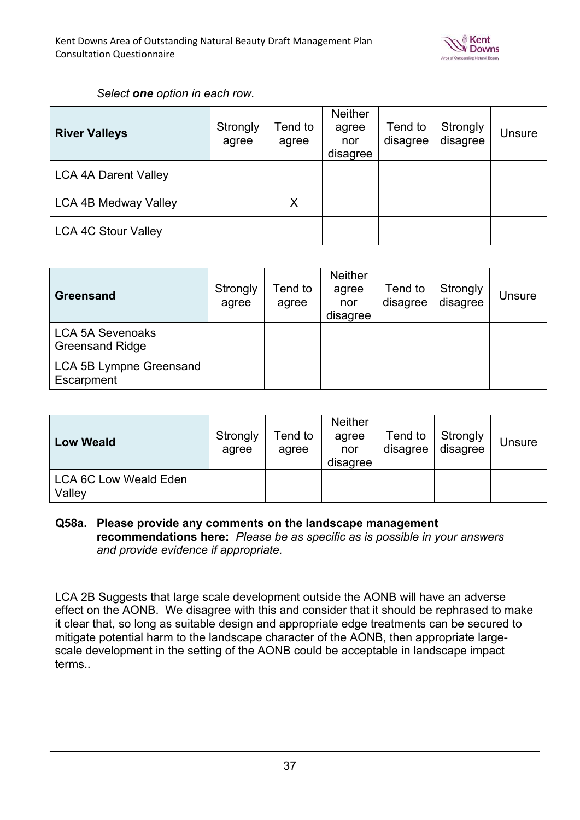

#### *Select one option in each row.*

| <b>River Valleys</b>        | Strongly<br>agree | Tend to<br>agree | <b>Neither</b><br>agree<br>nor<br>disagree | Tend to<br>disagree | Strongly<br>disagree | Unsure |
|-----------------------------|-------------------|------------------|--------------------------------------------|---------------------|----------------------|--------|
| <b>LCA 4A Darent Valley</b> |                   |                  |                                            |                     |                      |        |
| <b>LCA 4B Medway Valley</b> |                   | Χ                |                                            |                     |                      |        |
| <b>LCA 4C Stour Valley</b>  |                   |                  |                                            |                     |                      |        |

| <b>Greensand</b>                                  | Strongly<br>agree | Tend to<br>agree | <b>Neither</b><br>agree<br>nor<br>disagree | Tend to<br>disagree | Strongly<br>disagree | Unsure |
|---------------------------------------------------|-------------------|------------------|--------------------------------------------|---------------------|----------------------|--------|
| <b>LCA 5A Sevenoaks</b><br><b>Greensand Ridge</b> |                   |                  |                                            |                     |                      |        |
| LCA 5B Lympne Greensand<br>Escarpment             |                   |                  |                                            |                     |                      |        |

| <b>Low Weald</b>                       | Strongly<br>agree | Tend to<br>agree | <b>Neither</b><br>agree<br>nor<br>disagree | Tend to<br>disagree | Strongly<br>disagree | <b>Unsure</b> |
|----------------------------------------|-------------------|------------------|--------------------------------------------|---------------------|----------------------|---------------|
| <b>LCA 6C Low Weald Eden</b><br>Valley |                   |                  |                                            |                     |                      |               |

#### **Q58a. Please provide any comments on the landscape management recommendations here:** *Please be as specific as is possible in your answers and provide evidence if appropriate.*

LCA 2B Suggests that large scale development outside the AONB will have an adverse effect on the AONB. We disagree with this and consider that it should be rephrased to make it clear that, so long as suitable design and appropriate edge treatments can be secured to mitigate potential harm to the landscape character of the AONB, then appropriate largescale development in the setting of the AONB could be acceptable in landscape impact terms..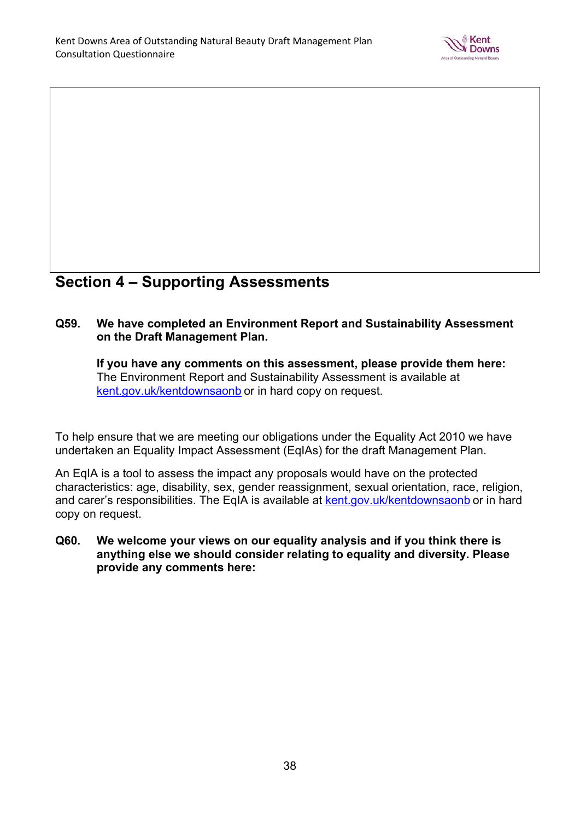

# **Section 4 – Supporting Assessments**

#### **Q59. We have completed an Environment Report and Sustainability Assessment on the Draft Management Plan.**

**If you have any comments on this assessment, please provide them here:** The Environment Report and Sustainability Assessment is available at [kent.gov.uk/k](http://www.kent.gov.uk/)entdownsaonb or in hard copy on request.

To help ensure that we are meeting our obligations under the Equality Act 2010 we have undertaken an Equality Impact Assessment (EqIAs) for the draft Management Plan.

An EqIA is a tool to assess the impact any proposals would have on the protected characteristics: age, disability, sex, gender reassignment, sexual orientation, race, religion, and carer's responsibilities. The EqIA is available at [kent.gov.uk/k](http://www.kent.gov.uk/)entdownsaonb or in hard copy on request.

**Q60. We welcome your views on our equality analysis and if you think there is anything else we should consider relating to equality and diversity. Please provide any comments here:**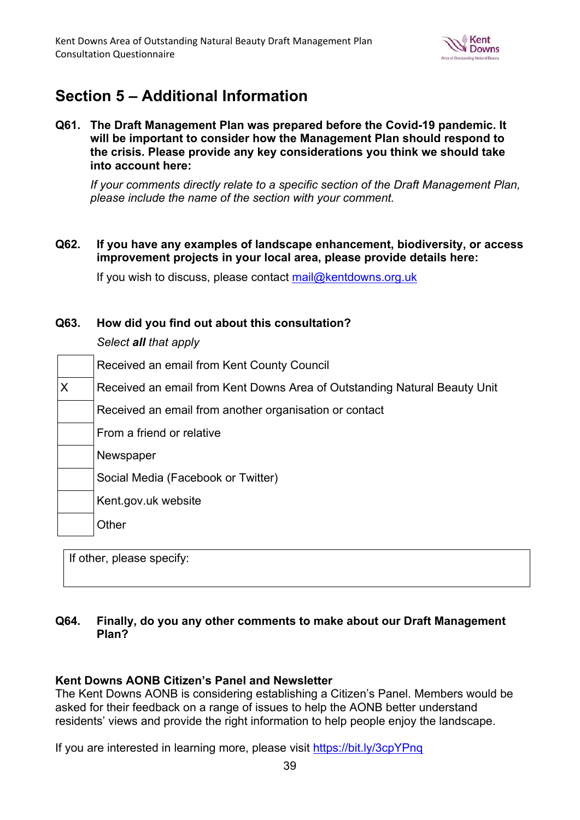

# **Section 5 – Additional Information**

**Q61. The Draft Management Plan was prepared before the Covid-19 pandemic. It will be important to consider how the Management Plan should respond to the crisis. Please provide any key considerations you think we should take into account here:**

*If your comments directly relate to a specific section of the Draft Management Plan, please include the name of the section with your comment.*

**Q62. If you have any examples of landscape enhancement, biodiversity, or access improvement projects in your local area, please provide details here:**

If you wish to discuss, please contact [mail@kentdowns.org.uk](mailto:mail@kentdowns.org.uk)

#### **Q63. How did you find out about this consultation?**

#### *Select all that apply*

|   | Received an email from Kent County Council                                |
|---|---------------------------------------------------------------------------|
| X | Received an email from Kent Downs Area of Outstanding Natural Beauty Unit |
|   | Received an email from another organisation or contact                    |
|   | From a friend or relative                                                 |
|   | Newspaper                                                                 |
|   | Social Media (Facebook or Twitter)                                        |
|   | Kent gov uk website                                                       |
|   | Other                                                                     |

If other, please specify:

#### **Q64. Finally, do you any other comments to make about our Draft Management Plan?**

#### **Kent Downs AONB Citizen's Panel and Newsletter**

The Kent Downs AONB is considering establishing a Citizen's Panel. Members would be asked for their feedback on a range of issues to help the AONB better understand residents' views and provide the right information to help people enjoy the landscape.

If you are interested in learning more, please visit <https://bit.ly/3cpYPnq>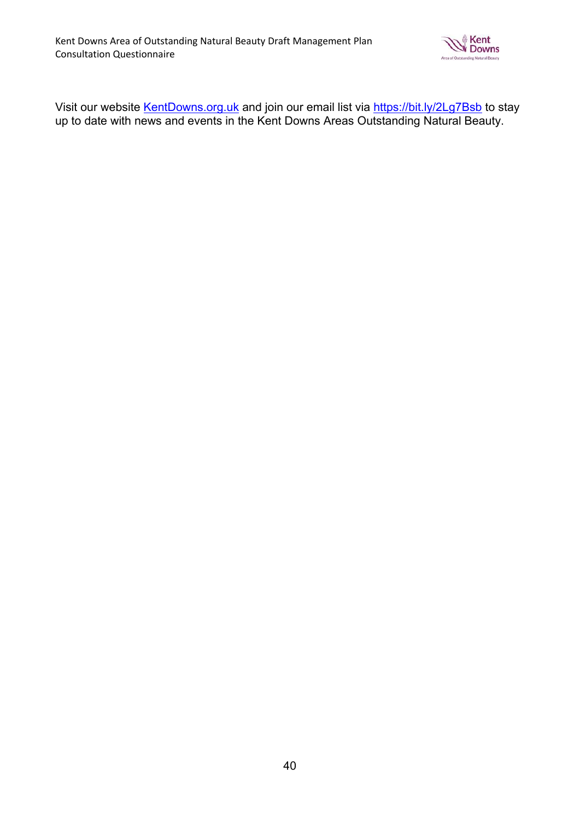

Visit our website [KentDowns.org.uk](http://www.kentdowns.org.uk/) and join our email list via <https://bit.ly/2Lg7Bsb> to stay up to date with news and events in the Kent Downs Areas Outstanding Natural Beauty.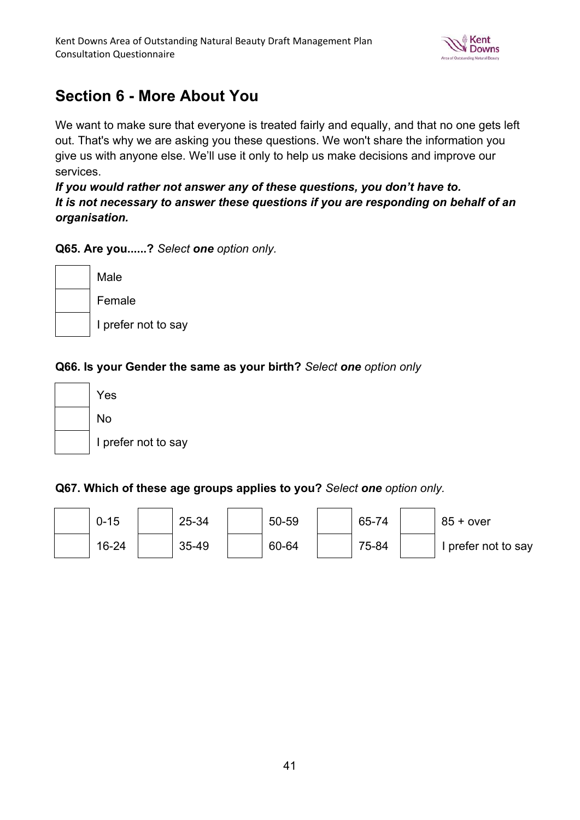

# **Section 6 - More About You**

We want to make sure that everyone is treated fairly and equally, and that no one gets left out. That's why we are asking you these questions. We won't share the information you give us with anyone else. We'll use it only to help us make decisions and improve our services.

*If you would rather not answer any of these questions, you don't have to. It is not necessary to answer these questions if you are responding on behalf of an organisation.*

**Q65. Are you......?** *Select one option only.*

| Male                |
|---------------------|
| Female              |
| I prefer not to say |

### **Q66. Is your Gender the same as your birth?** *Select one option only*

| Yes      |
|----------|
| No       |
| I<br>pre |

prefer not to say

#### **Q67. Which of these age groups applies to you?** *Select one option only.*

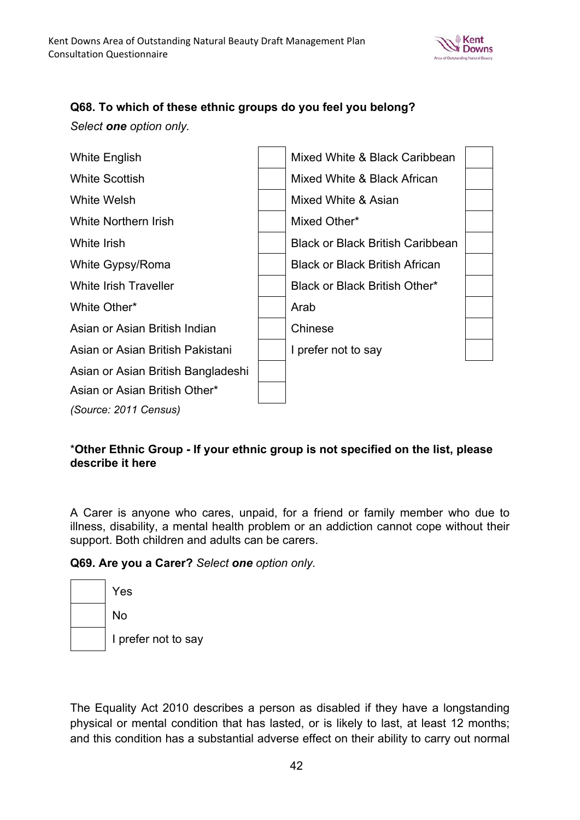

### **Q68. To which of these ethnic groups do you feel you belong?**

*Select one option only.* 



### \***Other Ethnic Group - If your ethnic group is not specified on the list, please describe it here**

A Carer is anyone who cares, unpaid, for a friend or family member who due to illness, disability, a mental health problem or an addiction cannot cope without their support. Both children and adults can be carers.

#### **Q69. Are you a Carer?** *Select one option only.*

| Yes                 |
|---------------------|
| No                  |
| I prefer not to say |

The Equality Act 2010 describes a person as disabled if they have a longstanding physical or mental condition that has lasted, or is likely to last, at least 12 months; and this condition has a substantial adverse effect on their ability to carry out normal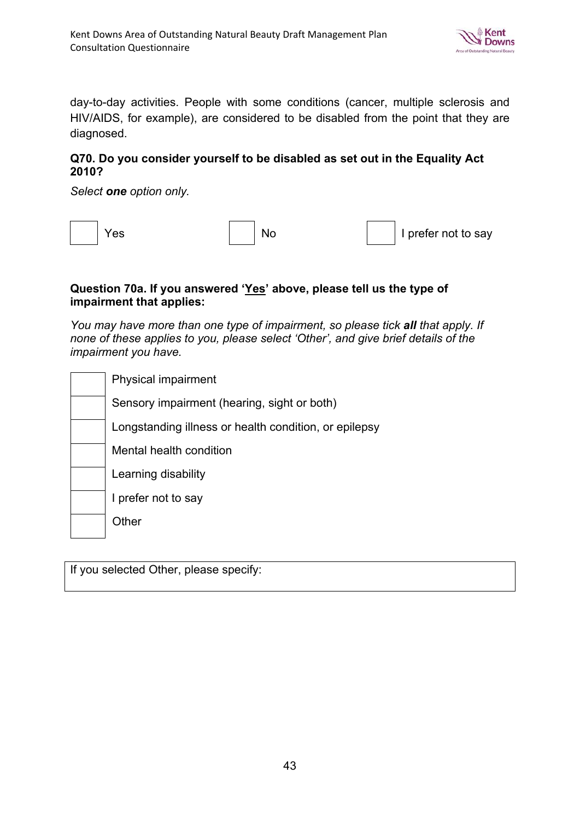

day-to-day activities. People with some conditions (cancer, multiple sclerosis and HIV/AIDS, for example), are considered to be disabled from the point that they are diagnosed.

#### **Q70. Do you consider yourself to be disabled as set out in the Equality Act 2010?**

*Select one option only.*



Yes No I prefer not to say

#### **Question 70a. If you answered 'Yes' above, please tell us the type of impairment that applies:**

*You may have more than one type of impairment, so please tick all that apply. If none of these applies to you, please select 'Other', and give brief details of the impairment you have.*

| <b>Physical impairment</b>                            |
|-------------------------------------------------------|
| Sensory impairment (hearing, sight or both)           |
| Longstanding illness or health condition, or epilepsy |
| Mental health condition                               |
| Learning disability                                   |
| I prefer not to say                                   |
| Other                                                 |
|                                                       |

If you selected Other, please specify: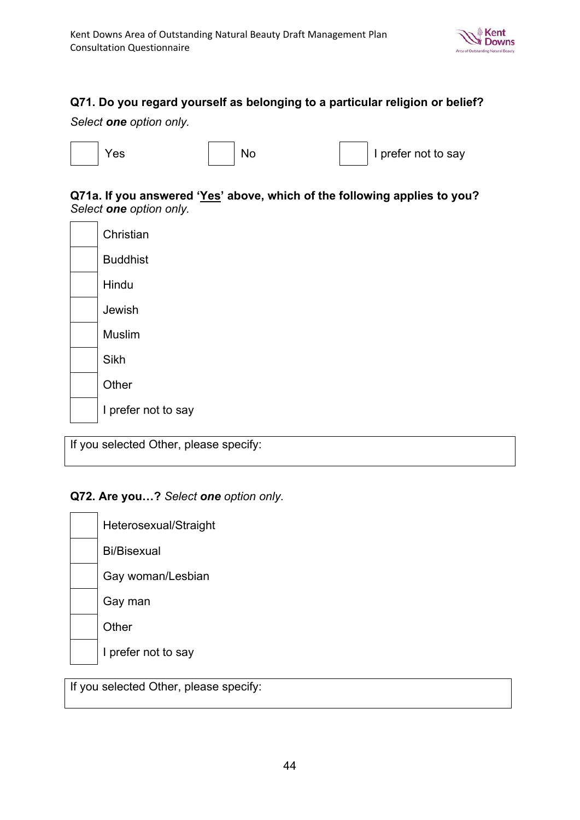

### **Q71. Do you regard yourself as belonging to a particular religion or belief?**

*Select one option only.*

Yes No I prefer not to say

#### **Q71a. If you answered 'Yes' above, which of the following applies to you?** *Select one option only.*

| Christian           |
|---------------------|
| <b>Buddhist</b>     |
| Hindu               |
| Jewish              |
| Muslim              |
| Sikh                |
| Other               |
| I prefer not to say |

If you selected Other, please specify:

## **Q72. Are you…?** *Select one option only.*

| Heterosexual/Straight |
|-----------------------|
| <b>Bi/Bisexual</b>    |
| Gay woman/Lesbian     |
| Gay man               |
| Other                 |
| I prefer not to say   |

If you selected Other, please specify: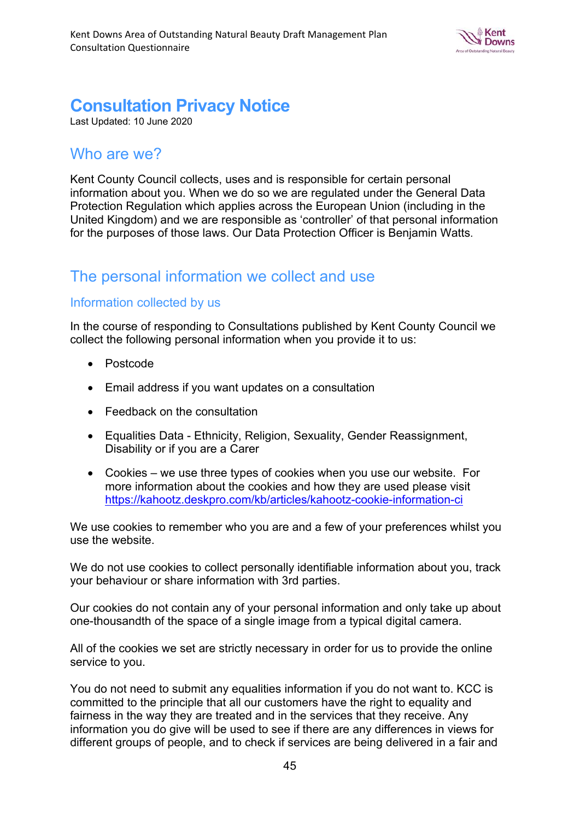

# **Consultation Privacy Notice**

Last Updated: 10 June 2020

# Who are we?

Kent County Council collects, uses and is responsible for certain personal information about you. When we do so we are regulated under the General Data Protection Regulation which applies across the European Union (including in the United Kingdom) and we are responsible as 'controller' of that personal information for the purposes of those laws. Our Data Protection Officer is Benjamin Watts.

# The personal information we collect and use

### Information collected by us

In the course of responding to Consultations published by Kent County Council we collect the following personal information when you provide it to us:

- Postcode
- Email address if you want updates on a consultation
- Feedback on the consultation
- Equalities Data Ethnicity, Religion, Sexuality, Gender Reassignment, Disability or if you are a Carer
- Cookies we use three types of cookies when you use our website. For more information about the cookies and how they are used please visit <https://kahootz.deskpro.com/kb/articles/kahootz-cookie-information-ci>

We use cookies to remember who you are and a few of your preferences whilst you use the website.

We do not use cookies to collect personally identifiable information about you, track your behaviour or share information with 3rd parties.

Our cookies do not contain any of your personal information and only take up about one-thousandth of the space of a single image from a typical digital camera.

All of the cookies we set are strictly necessary in order for us to provide the online service to you.

You do not need to submit any equalities information if you do not want to. KCC is committed to the principle that all our customers have the right to equality and fairness in the way they are treated and in the services that they receive. Any information you do give will be used to see if there are any differences in views for different groups of people, and to check if services are being delivered in a fair and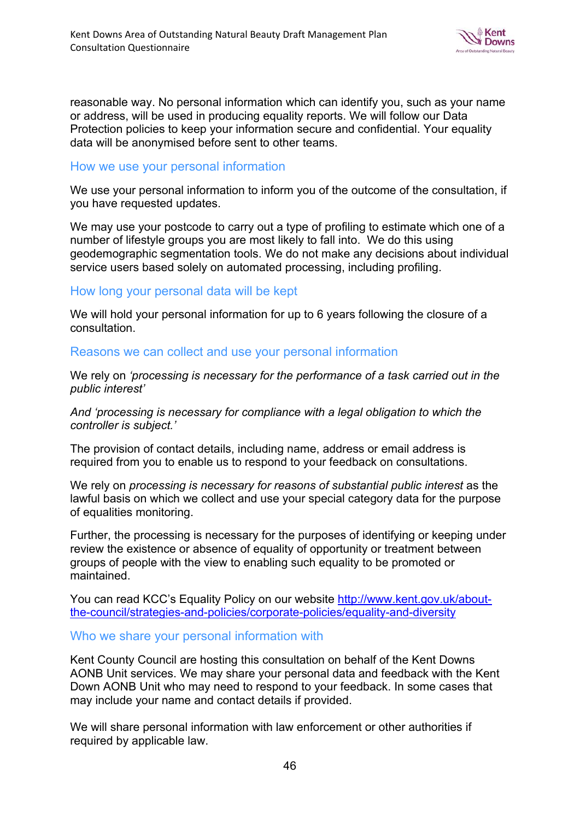

reasonable way. No personal information which can identify you, such as your name or address, will be used in producing equality reports. We will follow our Data Protection policies to keep your information secure and confidential. Your equality data will be anonymised before sent to other teams.

#### How we use your personal information

We use your personal information to inform you of the outcome of the consultation, if you have requested updates.

We may use your postcode to carry out a type of profiling to estimate which one of a number of lifestyle groups you are most likely to fall into. We do this using geodemographic segmentation tools. We do not make any decisions about individual service users based solely on automated processing, including profiling.

#### How long your personal data will be kept

We will hold your personal information for up to 6 years following the closure of a consultation.

Reasons we can collect and use your personal information

We rely on *'processing is necessary for the performance of a task carried out in the public interest'*

*And 'processing is necessary for compliance with a legal obligation to which the controller is subject.'*

The provision of contact details, including name, address or email address is required from you to enable us to respond to your feedback on consultations.

We rely on *processing is necessary for reasons of substantial public interest* as the lawful basis on which we collect and use your special category data for the purpose of equalities monitoring.

Further, the processing is necessary for the purposes of identifying or keeping under review the existence or absence of equality of opportunity or treatment between groups of people with the view to enabling such equality to be promoted or maintained.

You can read KCC's Equality Policy on our website [http://www.kent.gov.uk/about](http://www.kent.gov.uk/about-the-council/strategies-and-policies/corporate-policies/equality-and-diversity)[the-council/strategies-and-policies/corporate-policies/equality-and-diversity](http://www.kent.gov.uk/about-the-council/strategies-and-policies/corporate-policies/equality-and-diversity)

#### Who we share your personal information with

Kent County Council are hosting this consultation on behalf of the Kent Downs AONB Unit services. We may share your personal data and feedback with the Kent Down AONB Unit who may need to respond to your feedback. In some cases that may include your name and contact details if provided.

We will share personal information with law enforcement or other authorities if required by applicable law.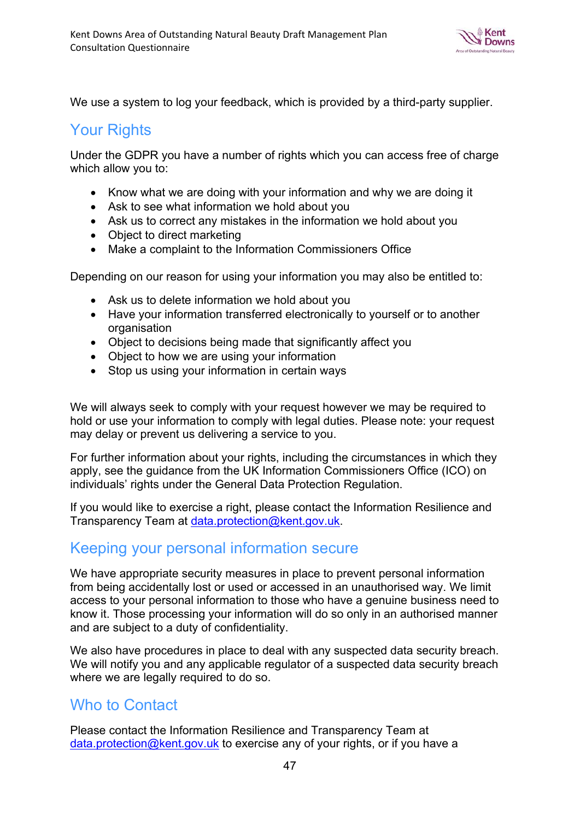

We use a system to log your feedback, which is provided by a third-party supplier.

# Your Rights

Under the GDPR you have a number of rights which you can access free of charge which allow you to:

- Know what we are doing with your information and why we are doing it
- Ask to see what information we hold about you
- Ask us to correct any mistakes in the information we hold about you
- Object to direct marketing
- Make a complaint to the Information Commissioners Office

Depending on our reason for using your information you may also be entitled to:

- Ask us to delete information we hold about you
- Have your information transferred electronically to yourself or to another organisation
- Object to decisions being made that significantly affect you
- Object to how we are using your information
- Stop us using your information in certain ways

We will always seek to comply with your request however we may be required to hold or use your information to comply with legal duties. Please note: your request may delay or prevent us delivering a service to you.

For further information about your rights, including the circumstances in which they apply, see the guidance from the UK Information Commissioners Office (ICO) on individuals' rights under the General Data Protection Regulation.

If you would like to exercise a right, please contact the Information Resilience and Transparency Team at [data.protection@kent.gov.uk.](mailto:data.protection@kent.gov.uk)

## Keeping your personal information secure

We have appropriate security measures in place to prevent personal information from being accidentally lost or used or accessed in an unauthorised way. We limit access to your personal information to those who have a genuine business need to know it. Those processing your information will do so only in an authorised manner and are subject to a duty of confidentiality.

We also have procedures in place to deal with any suspected data security breach. We will notify you and any applicable regulator of a suspected data security breach where we are legally required to do so.

# Who to Contact

Please contact the Information Resilience and Transparency Team at [data.protection@kent.gov.uk](mailto:data.protection@kent.gov.uk) to exercise any of your rights, or if you have a